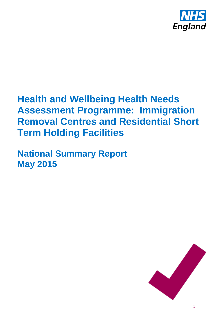

# **Health and Wellbeing Health Needs Assessment Programme: Immigration Removal Centres and Residential Short Term Holding Facilities**

**National Summary Report May 2015**

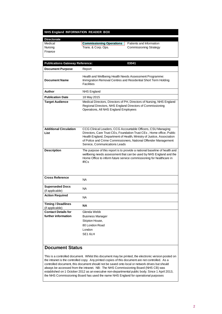#### **NHS England INFORMATION READER BOX**

# **Directorate**

# Medical **Commissioning Operations** Patients and Information<br>
Nursing Trans. & Corp. Ops. Commissioning Strategy

Commissioning Strategy

Finance

| <b>Publications Gateway Reference:</b>       | 03041                                                                                                                                                                                                                                                                                                              |
|----------------------------------------------|--------------------------------------------------------------------------------------------------------------------------------------------------------------------------------------------------------------------------------------------------------------------------------------------------------------------|
| <b>Document Purpose</b>                      | Report                                                                                                                                                                                                                                                                                                             |
| <b>Document Name</b>                         | Health and Wellbeing Health Needs Assessment Programme:<br>Immigration Removal Centres and Residential Short Term Holding<br><b>Facilities</b>                                                                                                                                                                     |
| Author                                       | <b>NHS England</b>                                                                                                                                                                                                                                                                                                 |
| <b>Publication Date</b>                      | 18 May 2015                                                                                                                                                                                                                                                                                                        |
| <b>Target Audience</b>                       | Medical Directors, Directors of PH, Directors of Nursing, NHS England<br>Regional Directors, NHS England Directors of Commissioning<br>Operations, All NHS England Employees                                                                                                                                       |
| <b>Additional Circulation</b><br>List        | CCG Clinical Leaders, CCG Accountable Officers, CSU Managing<br>Directors, Care Trust CEs, Foundation Trust CEs, Home office, Public<br>Health England, Department of Health, Ministry of Justice, Association<br>of Police and Crime Commissioners, National Offender Management<br>Service, Communications Leads |
| <b>Description</b>                           | The purpose of this report is to provide a national baseline of health and<br>wellbeing needs assessment that can be used by NHS England and the<br>Home Office to inform future service commissioning for healthcare in<br><b>IRCs</b>                                                                            |
| <b>Cross Reference</b>                       | <b>NA</b>                                                                                                                                                                                                                                                                                                          |
| <b>Superseded Docs</b><br>(if applicable)    | <b>NA</b>                                                                                                                                                                                                                                                                                                          |
| <b>Action Required</b>                       | NA.                                                                                                                                                                                                                                                                                                                |
| <b>Timing / Deadlines</b><br>(if applicable) | ΝA                                                                                                                                                                                                                                                                                                                 |
| <b>Contact Details for</b>                   | Glenda Webb                                                                                                                                                                                                                                                                                                        |
| further information                          | <b>Business Manager</b>                                                                                                                                                                                                                                                                                            |
|                                              | Skipton House,                                                                                                                                                                                                                                                                                                     |
|                                              | 80 London Road                                                                                                                                                                                                                                                                                                     |
|                                              | London                                                                                                                                                                                                                                                                                                             |
|                                              | SE <sub>16LH</sub>                                                                                                                                                                                                                                                                                                 |
|                                              |                                                                                                                                                                                                                                                                                                                    |

#### **Document Status**

This is a controlled document. Whilst this document may be printed, the electronic version posted on the intranet is the controlled copy. Any printed copies of this document are not controlled. As a controlled document, this document should not be saved onto local or network drives but should always be accessed from the intranet. NB: The NHS Commissioning Board (NHS CB) was established on 1 October 2012 as an executive non-departmental public body. Since 1 April 2013, the NHS Commissioning Board has used the name NHS England for operational purposes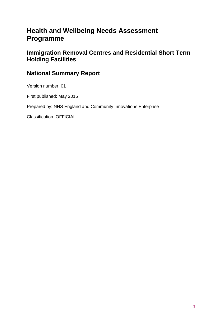# **Health and Wellbeing Needs Assessment Programme**

# **Immigration Removal Centres and Residential Short Term Holding Facilities**

# **National Summary Report**

Version number: 01

First published: May 2015

Prepared by: NHS England and Community Innovations Enterprise

Classification: OFFICIAL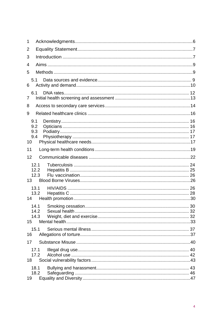| 1  |                          |  |
|----|--------------------------|--|
| 2  |                          |  |
| 3  |                          |  |
| 4  |                          |  |
| 5  |                          |  |
| 6  | 5.1                      |  |
| 7  | 6.1                      |  |
| 8  |                          |  |
| 9  |                          |  |
| 10 | 9.1<br>9.2<br>9.3<br>9.4 |  |
| 11 |                          |  |
| 12 |                          |  |
| 13 | 12.1<br>12.2<br>12.3     |  |
| 14 | 13.1<br>13.2             |  |
| 15 | 14.2<br>14.3             |  |
|    | 15.1                     |  |
| 16 |                          |  |
| 17 |                          |  |
| 18 | 17.1<br>17.2             |  |
| 19 | 18.1<br>18.2             |  |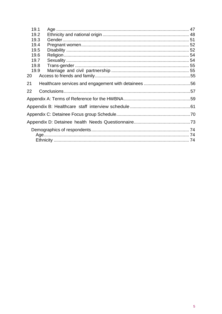| 19.1 |  |
|------|--|
| 19.2 |  |
| 19.3 |  |
| 19.4 |  |
| 19.5 |  |
| 19.6 |  |
| 19.7 |  |
| 19.8 |  |
| 19.9 |  |
| 20   |  |
| 21   |  |
| 22   |  |
|      |  |
|      |  |
|      |  |
|      |  |
|      |  |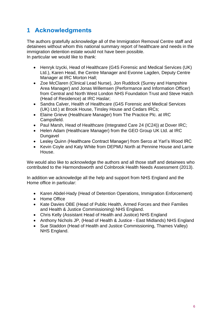# <span id="page-5-0"></span>**1 Acknowledgments**

The authors gratefully acknowledge all of the Immigration Removal Centre staff and detainees without whom this national summary report of healthcare and needs in the immigration detention estate would not have been possible. In particular we would like to thank:

- Henryk Izycki, Head of Healthcare (G4S Forensic and Medical Services (UK) Ltd.), Karen Head, the Centre Manager and Evonne Lagden, Deputy Centre Manager at IRC Morton Hall;
- Zoe McClaren (Clinical Lead Nurse), Jon Ruddock (Surrey and Hampshire Area Manager) and Jonas Willemsen (Performance and Information Officer) from Central and North West London NHS Foundation Trust and Steve Hatch (Head of Residence) at IRC Haslar;
- Sandra Calver, Health of Healthcare (G4S Forensic and Medical Services (UK) Ltd.) at Brook House, Tinsley House and Cedars IRCs;
- Elaine Grieve (Healthcare Manager) from The Practice Plc. at IRC Campsfield.
- Paul Marsh, Head of Healthcare (Integrated Care 24 (IC24)) at Dover IRC;
- Helen Adam (Healthcare Manager) from the GEO Group UK Ltd. at IRC Dungavel
- Lesley Quinn (Healthcare Contract Manager) from Serco at YarI's Wood IRC
- Kevin Coyle and Katy White from DEPMU North at Pennine House and Larne House.

We would also like to acknowledge the authors and all those staff and detainees who contributed to the Harmondsworth and Colnbrook Health Needs Assessment (2013).

In addition we acknowledge all the help and support from NHS England and the Home office in particular:

- Karen Abdel-Hady (Head of Detention Operations, Immigration Enforcement)
- Home Office
- Kate Davies OBE (Head of Public Health, Armed Forces and their Families and Health & Justice Commissioning) NHS England.
- Chris Kelly (Assistant Head of Health and Justice) NHS England
- Anthony Nichols JP, (Head of Health & Justice East Midlands) NHS England
- Sue Staddon (Head of Health and Justice Commissioning, Thames Valley) NHS England.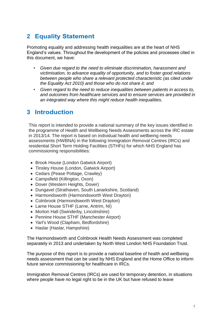# <span id="page-6-0"></span>**2 Equality Statement**

Promoting equality and addressing health inequalities are at the heart of NHS England's values. Throughout the development of the policies and processes cited in this document, we have:

- *Given due regard to the need to eliminate discrimination, harassment and victimisation, to advance equality of opportunity, and to foster good relations between people who share a relevant protected characteristic (as cited under the Equality Act 2010) and those who do not share it; and*
- *• Given regard to the need to reduce inequalities between patients in access to, and outcomes from healthcare services and to ensure services are provided in an integrated way where this might reduce health inequalities.*

## <span id="page-6-1"></span>**3 Introduction**

This report is intended to provide a national summary of the key issues identified in the programme of Health and Wellbeing Needs Assessments across the IRC estate in 2013/14. The report is based on individual health and wellbeing needs assessments (HWBNA) in the following Immigration Removal Centres (IRCs) and residential Short Term Holding Facilities (STHFs) for which NHS England has commissioning responsibilities:

- Brook House (London Gatwick Airport)
- Tinsley House (London, Gatwick Airport)
- Cedars (Pease Pottage, Crawley)
- Campsfield (Killington, Oxon)
- Dover (Western Heights, Dover)
- Dungavel (Strathaven, South Lanarkshire, Scotland)
- Harmondsworth (Harmondsworth West Drayton)
- Colnbrook (Harmondsworth West Drayton)
- Larne House STHF (Larne, Antrim, NI)
- Morton Hall (Swinderby, Lincolnshire)
- Pennine House STHF (Manchester Airport)
- Yarl's Wood (Clapham, Bedfordshire)
- Haslar (Haslar, Hampshire)

The Harmondsworth and Colnbrook Health Needs Assessment was completed separately in 2013 and undertaken by North West London NHS Foundation Trust.

The purpose of this report is to provide a national baseline of health and wellbeing needs assessment that can be used by NHS England and the Home Office to inform future service commissioning for healthcare in IRCs.

Immigration Removal Centres (IRCs) are used for temporary detention, in situations where people have no legal right to be in the UK but have refused to leave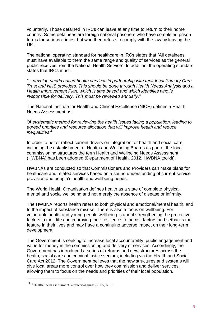voluntarily. Those detained in IRCs can leave at any time to return to their home country. Some detainees are foreign national prisoners who have completed prison terms for serious crimes, but who then refuse to comply with the law by leaving the UK.

The national operating standard for healthcare in IRCs states that "All detainees must have available to them the same range and quality of services as the general public receives from the National Health Service". In addition, the operating standard states that IRCs must:

*"…develop needs based health services in partnership with their local Primary Care Trust and NHS providers. This should be done through Health Needs Analysis and a Health Improvement Plan, which is time based and which identifies who is responsible for delivery. This must be reviewed annually."*

The National Institute for Health and Clinical Excellence (NICE) defines a Health Needs Assessment as:

*"A systematic method for reviewing the health issues facing a population, leading to agreed priorities and resource allocation that will improve health and reduce inequalities"<sup>1</sup>*

In order to better reflect current drivers on integration for health and social care, including the establishment of Health and Wellbeing Boards as part of the local commissioning structures the term Health and Wellbeing Needs Assessment (HWBNA) has been adopted (Department of Health. 2012. HWBNA toolkit).

HWBNAs are conducted so that Commissioners and Providers can make plans for healthcare and related services based on a sound understanding of current service provision and people's health and wellbeing needs.

The World Health Organisation defines health as a state of complete physical, mental and social wellbeing and not merely the absence of disease or infirmity.

The HWBNA reports health refers to both physical and emotional/mental health, and to the impact of substance misuse. There is also a focus on wellbeing. For vulnerable adults and young people wellbeing is about strengthening the protective factors in their life and improving their resilience to the risk factors and setbacks that feature in their lives and may have a continuing adverse impact on their long-term development.

The Government is seeking to increase local accountability, public engagement and value for money in the commissioning and delivery of services. Accordingly, the Government has introduced a series of reforms and new structures across the health, social care and criminal justice sectors, including via the Health and Social Care Act 2012. The Government believes that the new structures and systems will give local areas more control over how they commission and deliver services, allowing them to focus on the needs and priorities of their local population.

<u>.</u>

 $1<sup>1</sup>$  Health needs assessment: a practical guide (2005) NICE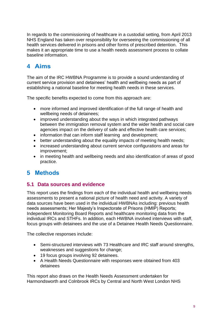In regards to the commissioning of healthcare in a custodial setting, from April 2013 NHS England has taken over responsibility for overseeing the commissioning of all health services delivered in prisons and other forms of prescribed detention. This makes it an appropriate time to use a health needs assessment process to collate baseline information.

# <span id="page-8-0"></span>**4 Aims**

The aim of the IRC HWBNA Programme is to provide a sound understanding of current service provision and detainees' health and wellbeing needs as part of establishing a national baseline for meeting health needs in these services.

The specific benefits expected to come from this approach are:

- more informed and improved identification of the full range of health and wellbeing needs of detainees;
- improved understanding about the ways in which integrated pathways between the immigration removal system and the wider health and social care agencies impact on the delivery of safe and effective health care services;
- information that can inform staff learning and development;
- better understanding about the equality impacts of meeting health needs;
- increased understanding about current service configurations and areas for improvement;
- in meeting health and wellbeing needs and also identification of areas of good practice.

# <span id="page-8-1"></span>**5 Methods**

#### <span id="page-8-2"></span>**5.1 Data sources and evidence**

This report uses the findings from each of the individual health and wellbeing needs assessments to present a national picture of health need and activity. A variety of data sources have been used in the individual HWBNAs including: previous health needs assessments; Her Majesty's Inspectorate of Prisons (HMIP) Reports; Independent Monitoring Board Reports and healthcare monitoring data from the individual IRCs and STHFs. In addition, each HWBNA involved interviews with staff, focus groups with detainees and the use of a Detainee Health Needs Questionnaire.

The collective responses include:

- Semi-structured interviews with 73 Healthcare and IRC staff around strengths, weaknesses and suggestions for change;
- 19 focus groups involving 92 detainees.
- A Health Needs Questionnaire with responses were obtained from 403 detainees

This report also draws on the Health Needs Assessment undertaken for Harmondsworth and Colnbrook IRCs by Central and North West London NHS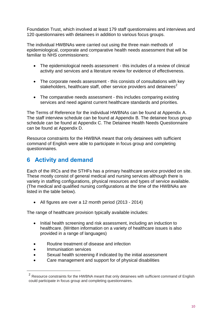Foundation Trust, which involved at least 179 staff questionnaires and interviews and 120 questionnaires with detainees in addition to various focus groups.

The individual HWBNAs were carried out using the three main methods of epidemiological, corporate and comparative health needs assessment that will be familiar to NHS commissioners:

- The epidemiological needs assessment this includes of a review of clinical activity and services and a literature review for evidence of effectiveness.
- The corporate needs assessment this consists of consultations with key stakeholders, healthcare staff, other service providers and detainees<sup>2</sup>
- The comparative needs assessment this includes comparing existing services and need against current healthcare standards and priorities.

The Terms of Reference for the individual HWBNAs can be found at Appendix A. The staff interview schedule can be found at Appendix B. The detainee focus group schedule can be found at Appendix C. The Detainee Health Needs Questionnaire can be found at Appendix D.

Resource constraints for the HWBNA meant that only detainees with sufficient command of English were able to participate in focus group and completing questionnaires.

# <span id="page-9-0"></span>**6 Activity and demand**

Each of the IRCs and the STHFs has a primary healthcare service provided on site. These mostly consist of general medical and nursing services although there is variety in staffing configurations, physical resources and types of service available. (The medical and qualified nursing configurations at the time of the HWBNAs are listed in the table below).

All figures are over a 12 month period (2013 - 2014)

The range of healthcare provision typically available includes:

- Initial health screening and risk assessment, including an induction to healthcare. (Written information on a variety of healthcare issues is also provided in a range of languages)
- Routine treatment of disease and infection
- Immunisation services

1

- Sexual health screening if indicated by the initial assessment
- Care management and support for of physical disabilities

<sup>&</sup>lt;sup>2</sup> Resource constraints for the HWBNA meant that only detainees with sufficient command of English could participate in focus group and completing questionnaires.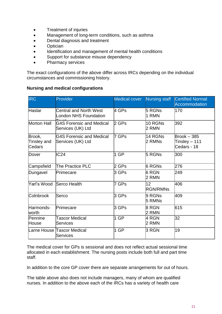- Treatment of injuries
- Management of long-term conditions, such as asthma
- Dental diagnosis and treatment
- Optician
- Identification and management of mental health conditions
- Support for substance misuse dependency
- Pharmacy services

The exact configurations of the above differ across IRCs depending on the individual circumstances and commissioning history.

#### **Nursing and medical configurations**

| <b>IRC</b>                      | Provider                                             | <b>Medical cover</b> | <b>Nursing staff</b>  | <b>Certified Normal</b><br>Accommodation        |
|---------------------------------|------------------------------------------------------|----------------------|-----------------------|-------------------------------------------------|
| Haslar                          | Central and North West<br>London NHS Foundation      | 4 GPs                | 5 RGNs<br>1 RMN       | 170                                             |
| <b>Morton Hall</b>              | <b>G4S Forensic and Medical</b><br>Services (UK) Ltd | 2 GPs                | 10 RGNs<br>2 RMN      | 392                                             |
| Brook,<br>Tinsley and<br>Cedars | <b>G4S Forensic and Medical</b><br>Services (UK) Ltd | 7 GPs                | 14 RGNs<br>2 RMNs     | $B$ rook $-385$<br>Tinsley – 111<br>Cedars - 18 |
| Dover                           | IC24                                                 | 1 GP                 | 5 RGNs                | 300                                             |
| Campsfield                      | The Practice PLC                                     | 2 GPs                | 6 RGNs                | 276                                             |
| Dungavel                        | Primecare                                            | 3 GPs                | 6 RGN<br>2 RMN        | 249                                             |
| lYarl's Wood                    | Serco Health                                         | 7 GPs                | 12<br><b>RGN/RMNs</b> | 406                                             |
| Colnbrook                       | lSerco                                               | 3 GPs                | 9 RGNs<br>5 RMNs      | 409                                             |
| Harmonds-<br><b>worth</b>       | Primecare                                            | 3 GPs                | 8 RGN<br>2 RMN        | 615                                             |
| Pennine<br>House                | <b>Tascor Medical</b><br>Services                    | 1 GP                 | 4 RGN<br>2 RMN        | 32                                              |
|                                 | Larne House Tascor Medical<br>Services               | 1 GP                 | 3 RGN                 | 19                                              |

The medical cover for GPs is sessional and does not reflect actual sessional time allocated in each establishment. The nursing posts include both full and part time staff.

In addition to the core GP cover there are separate arrangements for out of hours.

The table above also does not include managers, many of whom are qualified nurses. In addition to the above each of the IRCs has a variety of health care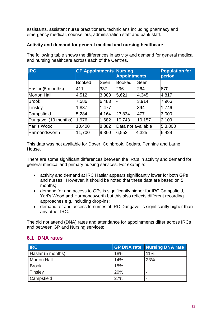assistants, assistant nurse practitioners, technicians including pharmacy and emergency medical, counsellors, administration staff and bank staff.

#### **Activity and demand for general medical and nursing healthcare**

| <b>IRC</b>           | <b>GP Appointments Nursing</b><br><b>Appointments</b> |             |                    |        | <b>Population for</b><br>period |
|----------------------|-------------------------------------------------------|-------------|--------------------|--------|---------------------------------|
|                      | <b>Booked</b>                                         | <b>Seen</b> | <b>Booked</b>      | Seen   |                                 |
| Haslar (5 months)    | 411                                                   | 337         | 296                | 264    | 870                             |
| <b>Morton Hall</b>   | 4,512                                                 | 3,888       | 5,621              | 4,345  | 4,817                           |
| <b>Brook</b>         | 7,586                                                 | 6,483       |                    | 3,914  | 7,966                           |
| Tinsley              | 1,837                                                 | 1,477       |                    | 894    | 1,746                           |
| Campsfield           | 5,284                                                 | 4,164       | 23,834             | 477    | 3,000                           |
| Dungavel (10 months) | 1,976                                                 | 1,682       | 10,743             | 10,157 | 2,109                           |
| Yarl's Wood          | 10,400                                                | 8,882       | Data not available |        | 5,8,808                         |
| Harmondsworth        | 11,700                                                | 9,360       | 6,552              | 4,325  | 6,429                           |

The following table shows the differences in activity and demand for general medical and nursing healthcare across each of the Centres.

This data was not available for Dover, Colnbrook, Cedars, Pennine and Larne House.

There are some significant differences between the IRCs in activity and demand for general medical and primary nursing services. For example:

- activity and demand at IRC Haslar appears significantly lower for both GPs and nurses. However, it should be noted that these data are based on 5 months;
- demand for and access to GPs is significantly higher for IRC Campsfield, Yarl's Wood and Harmondsworth but this also reflects different recording approaches e.g. including drop-ins;
- demand for and access to nurses at IRC Dungavel is significantly higher than any other IRC.

The did not attend (DNA) rates and attendance for appointments differ across IRCs and between GP and Nursing services:

# **IRC GP DNA rate Nursing DNA rate** Haslar (5 months) 18% 18% 11% Morton Hall 23% 23% Brook | 15% | -Tinsley 20% |-Campsfield 27% |-

#### <span id="page-11-0"></span>**6.1 DNA rates**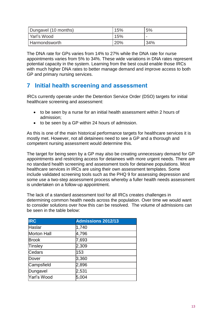| Dungavel (10 months) | 15% | 5%  |
|----------------------|-----|-----|
| Yarl's Wood          | 15% |     |
| <b>Harmondsworth</b> | 20% | 34% |

The DNA rate for GPs varies from 14% to 27% while the DNA rate for nurse appointments varies from 5% to 34%. These wide variations in DNA rates represent potential capacity in the system. Learning from the best could enable those IRCs with much higher DNA rates to better manage demand and improve access to both GP and primary nursing services.

# <span id="page-12-0"></span>**7 Initial health screening and assessment**

IRCs currently operate under the Detention Service Order (DSO) targets for initial healthcare screening and assessment:

- to be seen by a nurse for an initial health assessment within 2 hours of admission;
- to be seen by a GP within 24 hours of admission.

As this is one of the main historical performance targets for healthcare services it is mostly met. However, not all detainees need to see a GP and a thorough and competent nursing assessment would determine this.

The target for being seen by a GP may also be creating unnecessary demand for GP appointments and restricting access for detainees with more urgent needs. There are no standard health screening and assessment tools for detainee populations. Most healthcare services in IRCs are using their own assessment templates. Some include validated screening tools such as the PHQ 9 for assessing depression and some use a two-step assessment process whereby a fuller health needs assessment is undertaken on a follow-up appointment.

The lack of a standard assessment tool for all IRCs creates challenges in determining common health needs across the population. Over time we would want to consider solutions over how this can be resolved. The volume of admissions can be seen in the table below:

| <b>IRC</b>         | <b>Admissions 2012/13</b> |
|--------------------|---------------------------|
| Haslar             | 1,740                     |
| <b>Morton Hall</b> | 4,796                     |
| <b>Brook</b>       | 7,693                     |
| Tinsley            | 2,309                     |
| Cedars             | 153                       |
| Dover              | 3,360                     |
| Campsfield         | 2,896                     |
| Dungavel           | 2,531                     |
| Yarl's Wood        | 5,004                     |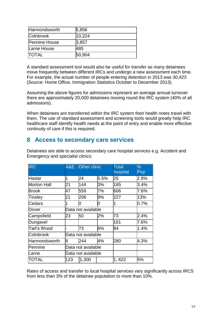| Harmondsworth        | 5,856  |
|----------------------|--------|
| <b>Colnbrook</b>     | 10,224 |
| <b>Pennine House</b> | 3,857  |
| Larne House          | 485    |
| <b>ITOTAL</b>        | 50,904 |

A standard assessment tool would also be useful for transfer as many detainees move frequently between different IRCs and undergo a new assessment each time. For example, the actual number of people entering detention in 2013 was 30,423 (Source: Home Office, Immigration Statistics October to December 2013).

Assuming the above figures for admissions represent an average annual turnover there are approximately 20,000 detainees moving round the IRC system (40% of all admissions).

When detainees are transferred within the IRC system their health notes travel with them. The use of standard assessment and screening tools would greatly help IRC healthcare staff identify health needs at the point of entry and enable more effective continuity of care if this is required.

## <span id="page-13-0"></span>**8 Access to secondary care services**

| <b>IRC</b>         | A&E | Other clinic       |      | <b>Total</b><br>hospital | $\%$<br>Pop |
|--------------------|-----|--------------------|------|--------------------------|-------------|
| Haslar             |     | 24                 | 5.5% | 25                       | 2.8%        |
| <b>Morton Hall</b> | 21  | 144                | 3%   | 165                      | 3.4%        |
| Brook              | 47  | 559                | 7%   | 606                      | 7.6%        |
| Tinsley            | 21  | 206                | 9%   | 227                      | 13%         |
| Cedars             |     | n                  | 10   | 1                        | 0.7%        |
| Dover              |     | Data not available |      |                          |             |
| Campsfield         | 23  | 50                 | 2%   | 73                       | 2.4%        |
| Dungavel           |     |                    |      | 161                      | 7.6%        |
| Yarl's Wood        |     | 73                 | 6%   | 84                       | 1.4%        |
| Colnbrook          |     | Data not available |      |                          |             |
| Harmondsworth      | 8   | 244                | 4%   | 280                      | 4.3%        |
| Pennine            |     | Data not available |      |                          |             |
| Larne              |     | Data not available |      |                          |             |
| TOTAL              | 123 | 1,300              |      | 1,622                    | 5%          |

Detainees are able to access secondary care hospital services e.g. Accident and Emergency and specialist clinics:

Rates of access and transfer to local hospital services vary significantly across IRCS from less than 3% of the detainee population to more than 10%.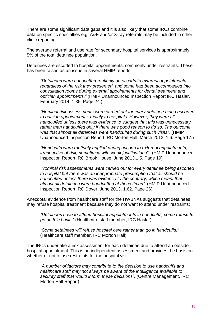There are some significant data gaps and it is also likely that some IRCs combine data on specific specialties e.g. A&E and/or X-ray referrals may be included in other clinic reporting.

The average referral and use rate for secondary hospital services is approximately 5% of the total detainee population.

Detainees are escorted to hospital appointments, commonly under restraints. These has been raised as an issue in several HMIP reports:

*"Detainees were handcuffed routinely on escorts to external appointments regardless of the risk they presented, and some had been accompanied into consultation rooms during external appointments for dental treatment and optician appointments."* (HMIP Unannounced Inspection Report IRC Haslar. February 2014. 1.35. Page 24.)

*"Nominal risk assessments were carried out for every detainee being escorted to outside appointments, mainly to hospitals. However, they were all handcuffed unless there was evidence to suggest that this was unnecessary, rather than handcuffed only if there was good reason to do so. The outcome was that almost all detainees were handcuffed during such visits".* (HMIP Unannounced Inspection Report IRC Morton Hall. March 2013. 1.6. Page 17.)

*"Handcuffs were routinely applied during escorts to external appointments, irrespective of risk, sometimes with weak justifications".* (HMIP Unannounced Inspection Report IRC Brook House. June 2013.1.5. Page 19)

*Nominal risk assessments were carried out for every detainee being escorted to hospital but there was an inappropriate presumption that all should be handcuffed unless there was evidence to the contrary, which meant that almost all detainees were handcuffed at these times".* (HMIP Unannounced Inspection Report IRC Dover. June 2013. 1.62. Page 26)

Anecdotal evidence from healthcare staff for the HWBNAs suggests that detainees may refuse hospital treatment because they do not want to attend under restraints:

*"Detainees have to attend hospital appointments in handcuffs, some refuse to go on this basis."* (Healthcare staff member, IRC Haslar)

*"Some detainees will refuse hospital care rather than go in handcuffs."*  (Healthcare staff member, IRC Morton Hall)

The IRCs undertake a risk assessment for each detainee due to attend an outside hospital appointment. This is an independent assessment and provides the basis on whether or not to use restraints for the hospital visit.

*"A number of factors may contribute to the decision to use handcuffs and healthcare staff may not always be aware of the intelligence available to security staff that would inform these decisions".* (Centre Management, IRC Morton Hall Report)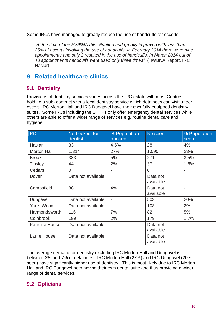Some IRCs have managed to greatly reduce the use of handcuffs for escorts:

"*At the time of the HWBNA this situation had greatly improved with less than 25% of escorts involving the use of handcuffs. In February 2014 there were nine appointments and only 2 resulted in the use of handcuffs. In March 2014 out of 13 appointments handcuffs were used only three times".* (HWBNA Report, IRC Haslar)

## <span id="page-15-0"></span>**9 Related healthcare clinics**

#### <span id="page-15-1"></span>**9.1 Dentistry**

Provisions of dentistry services varies across the IRC estate with most Centres holding a sub- contract with a local dentistry service which detainees can visit under escort. IRC Morton Hall and IRC Dungavel have their own fully equipped dentistry suites. Some IRCs including the STHFs only offer emergency dental services while others are able to offer a wider range of services e.g. routine dental care and hygiene.

| <b>IRC</b>           | No booked for<br>dentist | % Population<br>booked | No seen               | % Population<br>seen |
|----------------------|--------------------------|------------------------|-----------------------|----------------------|
| Haslar               | 33                       | 4.5%                   | 28                    | 4%                   |
| <b>Morton Hall</b>   | 1,314                    | 27%                    | 1,090                 | 23%                  |
| <b>Brook</b>         | 383                      | 5%                     | 271                   | 3.5%                 |
| <b>Tinsley</b>       | 44                       | 2%                     | 37                    | 1.6%                 |
| Cedars               | 0                        |                        | $\overline{0}$        |                      |
| Dover                | Data not available       |                        | Data not<br>available |                      |
| Campsfield           | 88                       | 4%                     | Data not<br>available |                      |
| Dungavel             | Data not available       | $\overline{a}$         | 503                   | 20%                  |
| Yarl's Wood          | Data not available       |                        | 108                   | 2%                   |
| Harmondsworth        | 116                      | 7%                     | 82                    | 5%                   |
| Colnbrook            | 199                      | 2%                     | 179                   | 1.7%                 |
| <b>Pennine House</b> | Data not available       |                        | Data not<br>available |                      |
| Larne House          | Data not available       |                        | Data not<br>available |                      |

The average demand for dentistry excluding IRC Morton Hall and Dungavel is between 2% and 7% of detainees. IRC Morton Hall (27%) and IRC Dungavel (20% seen) have significantly higher use of dentistry. This is most likely due to IRC Morton Hall and IRC Dungavel both having their own dental suite and thus providing a wider range of dental services.

#### <span id="page-15-2"></span>**9.2 Opticians**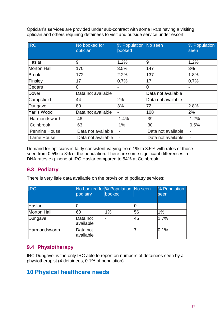Optician's services are provided under sub-contract with some IRCs having a visiting optician and others requiring detainees to visit and outside service under escort.

| <b>IRC</b>           | No booked for<br>optician | % Population No seen<br>booked |                    | % Population<br>seen     |
|----------------------|---------------------------|--------------------------------|--------------------|--------------------------|
| Haslar               | 9                         | 1.2%                           | 19                 | 1.2%                     |
| Morton Hall          | 170                       | 3.5%                           | 147                | 3%                       |
| <b>Brook</b>         | 172                       | 2.2%                           | 137                | 1.8%                     |
| Tinsley              | 17                        | 0.7%                           | 17                 | 0.7%                     |
| Cedars               | Ŋ                         |                                |                    |                          |
| Dover                | Data not available        |                                | Data not available |                          |
| Campsfield           | 44                        | 2%                             | Data not available |                          |
| Dungavel             | 80                        | 3%                             | 72                 | 2.8%                     |
| Yarl's Wood          | Data not available        |                                | 108                | 2%                       |
| Harmondsworth        | 46                        | 1.4%                           | 39                 | 1.2%                     |
| Colnbrook            | 63                        | $1\%$                          | 30                 | 0.5%                     |
| <b>Pennine House</b> | Data not available        | $\overline{\phantom{a}}$       | Data not available | $\overline{\phantom{0}}$ |
| Larne House          | Data not available        | $\qquad \qquad \blacksquare$   | Data not available | $\overline{a}$           |

Demand for opticians is fairly consistent varying from 1% to 3.5% with rates of those seen from 0.5% to 3% of the population. There are some significant differences in DNA rates e.g. none at IRC Haslar compared to 54% at Colnbrook.

#### <span id="page-16-0"></span>**9.3 Podiatry**

There is very little data available on the provision of podiatry services:

| <b>IRC</b>           | podiatry              | No booked for % Population No seen<br>booked |    | % Population<br>seen |
|----------------------|-----------------------|----------------------------------------------|----|----------------------|
| Haslar               |                       |                                              |    |                      |
| Morton Hall          | l60                   | 1%                                           | 56 | 1%                   |
| Dungavel             | Data not<br>available |                                              | 45 | 1.7%                 |
| <b>Harmondsworth</b> | Data not<br>available |                                              |    | 0.1%                 |

#### <span id="page-16-1"></span>**9.4 Physiotherapy**

IRC Dungavel is the only IRC able to report on numbers of detainees seen by a physiotherapist (4 detainees, 0.1% of population)

## <span id="page-16-2"></span>**10 Physical healthcare needs**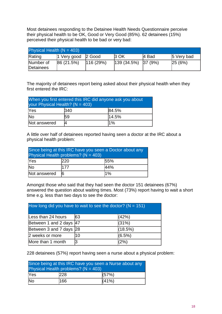Most detainees responding to the Detainee Health Needs Questionnaire perceive their physical health to be OK, Good or Very Good (85%). 62 detainees (15%) perceived their physical health to be bad or very bad:

| Physical Health $(N = 403)$ |                                          |          |             |         |            |
|-----------------------------|------------------------------------------|----------|-------------|---------|------------|
| Rating                      | $ 1 \text{ Very good }  2 \text{ Good }$ |          | <b>3 OK</b> | 4 Bad   | 5 Very bad |
| Number of<br>Detainees      | 86(21.5%)                                | 116(29%) | 139(34.5%)  | 37 (9%) | 25(6%)     |

The majority of detainees report being asked about their physical health when they first entered the IRC:

| When you first entered this IRC did anyone ask you about<br>your Physical Health? ( $N = 403$ ) |              |       |  |  |  |
|-------------------------------------------------------------------------------------------------|--------------|-------|--|--|--|
| Yes                                                                                             | 340<br>84.5% |       |  |  |  |
| <b>No</b>                                                                                       | 59           | 14.5% |  |  |  |
| Not answered                                                                                    | 1%           |       |  |  |  |

A little over half of detainees reported having seen a doctor at the IRC about a physical health problem:

| Since being at this IRC have you seen a Doctor about any<br>Physical Health problems? ( $N = 403$ ) |             |     |  |  |  |
|-----------------------------------------------------------------------------------------------------|-------------|-----|--|--|--|
| Yes                                                                                                 | 220<br>55%  |     |  |  |  |
| <b>No</b>                                                                                           | 177         | 44% |  |  |  |
| Not answered                                                                                        | $1\%$<br>16 |     |  |  |  |

Amongst those who said that they had seen the doctor 151 detainees (67%) answered the question about waiting times. Most (73%) report having to wait a short time e.g. less than two days to see the doctor:

| How long did you have to wait to see the doctor? ( $N = 151$ ) |    |           |  |
|----------------------------------------------------------------|----|-----------|--|
| Less than 24 hours                                             | 63 | (42%)     |  |
| Between 1 and 2 days 47                                        |    | (31%)     |  |
| Between 3 and 7 days 28                                        |    | (18.5%)   |  |
| 2 weeks or more                                                | 10 | $(6.5\%)$ |  |
| More than 1 month                                              |    | (2%)      |  |

228 detainees (57%) report having seen a nurse about a physical problem:

| Since being at this IRC have you seen a Nurse about any<br>Physical Health problems? $(N = 403)$ |            |       |  |  |
|--------------------------------------------------------------------------------------------------|------------|-------|--|--|
| <b>Yes</b>                                                                                       | <b>228</b> | (57%) |  |  |
| $\overline{\mathsf{No}}$<br>(41%)<br>166                                                         |            |       |  |  |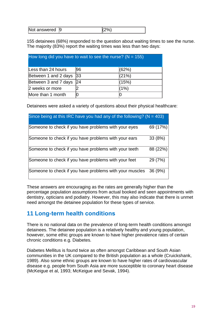| Not answered 9 |  | $'2\%$ |
|----------------|--|--------|
|----------------|--|--------|

155 detainees (68%) responded to the question about waiting times to see the nurse. The majority (83%) report the waiting times was less than two days:

| How long did you have to wait to see the nurse? ( $N = 155$ ) |    |       |  |  |
|---------------------------------------------------------------|----|-------|--|--|
| Less than 24 hours                                            | 96 | (62%) |  |  |
| Between 1 and 2 days                                          | 33 | (21%) |  |  |
| Between 3 and 7 days                                          | 24 | (15%) |  |  |
| 2 weeks or more                                               |    | (1%)  |  |  |
| More than 1 month                                             |    |       |  |  |

Detainees were asked a variety of questions about their physical healthcare:

| Since being at this IRC have you had any of the following? ( $N = 403$ ) |          |
|--------------------------------------------------------------------------|----------|
| Someone to check if you have problems with your eyes                     | 69 (17%) |
| Someone to check if you have problems with your ears                     | 33(8%)   |
| Someone to check if you have problems with your teeth                    | 88 (22%) |
| Someone to check if you have problems with your feet                     | 29 (7%)  |
| Someone to check if you have problems with your muscles                  | 36(9%)   |

These answers are encouraging as the rates are generally higher than the percentage population assumptions from actual booked and seen appointments with dentistry, opticians and podiatry. However, this may also indicate that there is unmet need amongst the detainee population for these types of service.

## <span id="page-18-0"></span>**11 Long-term health conditions**

There is no national data on the prevalence of long-term health conditions amongst detainees. The detainee population is a relatively healthy and young population, however, some ethic groups are known to have higher prevalence rates of certain chronic conditions e.g. Diabetes.

Diabetes Mellitus is found twice as often amongst Caribbean and South Asian communities in the UK compared to the British population as a whole (Cruickshank, 1989). Also some ethnic groups are known to have higher rates of cardiovascular disease e.g. people from South Asia are more susceptible to coronary heart disease (McKeigue et al, 1993; McKeigue and Sevak, 1994).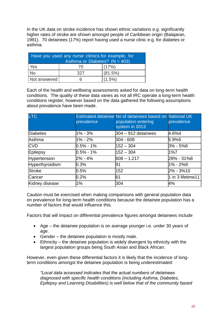In the UK data on stroke incidence has shown ethnic variations e.g. significantly higher rates of stroke are shown amongst people of Caribbean origin (Balajaran, 1991). 70 detainees (17%) report having used a nurse clinic e.g. for diabetes or asthma.

| Have you used any nurse clinics for example, for<br>Asthma or Diabetes? $(N = 403)$ |     |           |  |  |
|-------------------------------------------------------------------------------------|-----|-----------|--|--|
|                                                                                     |     |           |  |  |
| <b>Yes</b>                                                                          | 70  | (17%)     |  |  |
| <b>No</b>                                                                           | 327 | (81.5%)   |  |  |
| Not answered                                                                        | Ⴌ   | $(1.5\%)$ |  |  |

Each of the health and wellbeing assessments asked for data on long-term health conditions. The quality of these data varies as not all IRC operate a long-term health conditions register, however based on the data gathered the following assumptions about prevalence have been made.

| <b>LTC</b>      | prevalence   | Estimated detainee No of detainees based on National UK<br>population entering<br>system in 2013 | prevalence        |
|-----------------|--------------|--------------------------------------------------------------------------------------------------|-------------------|
| Diabetes        | 1% - 3%      | $304 - 912$ detainees                                                                            | 4.6%4             |
| <b>Asthma</b>   | $1\% - 2\%$  | $ 304 - 608 $                                                                                    | 5.9%5             |
| <b>CVD</b>      | $0.5\%$ - 1% | 152 – 304                                                                                        | 3% - 5%6          |
| Epilepsy        | $0.5\%$ - 1% | 152 – 304                                                                                        | 1%7               |
| Hypertension    | 2% - 4%      | $608 - 1,217$                                                                                    | 28% - 31%8        |
| Hyperthyroidism | 0.3%         | 191                                                                                              | 1% - 2%9          |
| Stroke          | $0.5\%$      | 152                                                                                              | 2% - 3%10         |
| Cancer          | $0.2\%$      | 61                                                                                               | 1 in 3 lifetime11 |
| Kidney disease  | $1\%$        | 304                                                                                              | 4%                |

Caution must be exercised when making comparisons with general population data on prevalence for long-term health conditions because the detainee population has a number of factors that would influence this.

Factors that will impact on differential prevalence figures amongst detainees include

- Age the detainee population is on average younger i.e. under 30 years of age.
- Gender the detainee population is mostly male.
- Ethnicity the detainee population is widely divergent by ethnicity with the largest population groups being South Asian and Black African.

However, even given these differential factors it is likely that the incidence of longterm conditions amongst the detainee population is being underestimated:

*"Local data accessed indicates that the actual numbers of detainees diagnosed with specific health conditions (including Asthma, Diabetes, Epilepsy and Learning Disabilities) is well below that of the community based*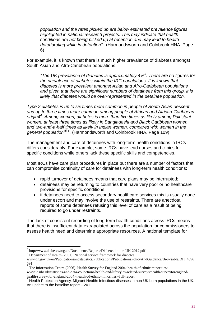*population and the rates picked up are below estimated prevalence figures highlighted in national research projects. This may indicate that health conditions are not being picked up at reception and may lead to health deteriorating while in detention".* (Harmondsworth and Colnbrook HNA. Page 6)

For example, it is known that there is much higher prevalence of diabetes amongst South Asian and Afro-Caribbean populations:

*"The UK prevalence of diabetes is approximately 4%<sup>3</sup> . There are no figures for the prevalence of diabetes within the IRC populations. It is known that diabetes is more prevalent amongst Asian and Afro-Caribbean populations and given that there are significant numbers of detainees from this group, it is likely that diabetes would be over-represented in the detainee population.*

*Type 2 diabetes is up to six times more common in people of South Asian descent and up to three times more common among people of African and African-Caribbean origin4<sup>4</sup> . Among women, diabetes is more than five times as likely among Pakistani women, at least three times as likely in Bangladeshi and Black Caribbean women, and two-and-a-half times as likely in Indian women, compared with women in the general population"<sup>5</sup> <sup>6</sup> .* (Harmondsworth and Colnbrook HNA. Page 109)

The management and care of detainees with long-term health conditions in IRCs differs considerably. For example, some IRCs have lead nurses and clinics for specific conditions while others lack these specific skills and competencies.

Most IRCs have care plan procedures in place but there are a number of factors that can compromise continuity of care for detainees with long-term health conditions:

- rapid turnover of detainees means that care plans may be interrupted;
- detainees may be returning to countries that have very poor or no healthcare provisions for specific conditions;
- if detainees need to access secondary healthcare services this is usually done under escort and may involve the use of restraints. There are anecdotal reports of some detainees refusing this level of care as a result of being required to go under restraints.

The lack of consistent recording of long-term health conditions across IRCs means that there is insufficient data extrapolated across the population for commissioners to assess health need and determine appropriate resources. A national template for

 3 <http://www.diabetes.org.uk/Documents/Reports/Diabetes-in-the-UK-2012.pdf>

<sup>&</sup>lt;sup>4</sup> Department of Health (2001). National service framework for diabetes

[www.dh.gov.uk/en/Publicationsandstatistics/Publicat](http://www.dh.gov.uk/en/Publicationsandstatistics/Publica-)ions/PublicationsPolicyAndGuidance/Browsable/DH\_4096 591

<sup>&</sup>lt;sup>5</sup> The Information Centre (2006). Health Survey for England 2004[:](http://www.ic.nhs.uk/statistics-and-data-collections/health-and-lifestyles-related-surveys/health-surveyforengland/) health of ethnic minorities:

[www.ic.nhs.uk/statistics-and-data-collections/health-and-lifestyles-related-surveys/health-surveyforengland/](http://www.ic.nhs.uk/statistics-and-data-collections/health-and-lifestyles-related-surveys/health-surveyforengland/) health-survey-for-england-2004:-health-of-ethnic-minorities--full-report

<sup>&</sup>lt;sup>6</sup> Health Protection Agency. Migrant Health: Infectious diseases in non-UK born populations in the UK. An update to the baseline report – 2011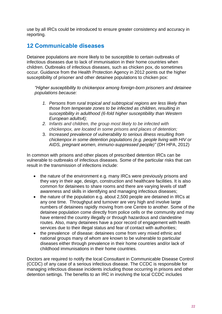use by all IRCs could be introduced to ensure greater consistency and accuracy in reporting.

# <span id="page-21-0"></span>**12 Communicable diseases**

Detainee populations are more likely to be susceptible to certain outbreaks of infectious diseases due to lack of immunisation in their home countries when children. Outbreaks of infectious diseases, such as chicken pox, do sometimes occur. Guidance from the Health Protection Agency in 2012 points out the higher susceptibility of prisoner and other detainee populations to chicken pox:

*"Higher susceptibility to chickenpox among foreign-born prisoners and detainee populations because:*

- *1. Persons from rural tropical and subtropical regions are less likely than those from temperate zones to be infected as children, resulting in susceptibility in adulthood (6-fold higher susceptibility than Western European adults4);*
- *2. Infants and children, the group most likely to be infected with chickenpox, are located in some prisons and places of detention;*
- 3. *Increased prevalence of vulnerability to serious illness resulting from chickenpox in some detention populations (e.g. people living with HIV or AIDS, pregnant women, immuno-suppressed people)"* (DH HPA, 2012)

In common with prisons and other places of prescribed detention IRCs can be vulnerable to outbreaks of infectious diseases. Some of the particular risks that can result in the transmission of infections include:

- the nature of the environment e.g. many IRCs were previously prisons and they vary in their age, design, construction and healthcare facilities. It is also common for detainees to share rooms and there are varying levels of staff awareness and skills in identifying and managing infectious diseases;
- the nature of the population e.g. about 2,500 people are detained in IRCs at any one time. Throughput and turnover are very high and involve large numbers of detainees rapidly moving from one Centre to another. Some of the detainee population come directly from police cells or the community and may have entered the country illegally or through hazardous and clandestine routes. Also, many detainees have a poor record of engagement with health services due to their illegal status and fear of contact with authorities;
- the prevalence of disease: detainees come from very mixed ethnic and national groups many of whom are known to be vulnerable to particular diseases either through prevalence in their home countries and/or lack of childhood immunisations in their home countries.

Doctors are required to notify the local Consultant in Communicable Disease Control (CCDC) of any case of a serious infectious disease. The CCDC is responsible for managing infectious disease incidents including those occurring in prisons and other detention settings. The benefits to an IRC in involving the local CCDC includes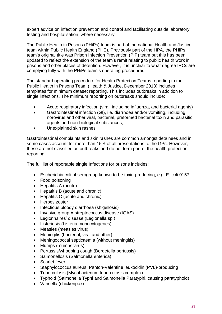expert advice on infection prevention and control and facilitating outside laboratory testing and hospitalisation, where necessary.

The Public Health in Prisons (PHiPs) team is part of the national Health and Justice team within Public Health England (PHE). Previously part of the HPA, the PHiPs team's original title was Prison Infection Prevention (PIP) team but this has been updated to reflect the extension of the team's remit relating to public health work in prisons and other places of detention. However, it is unclear to what degree IRCs are complying fully with the PHiPs team's operating procedures.

The standard operating procedure for Health Protection Teams reporting to the Public Health in Prisons Team (Health & Justice, December 2013) includes templates for minimum dataset reporting. This includes outbreaks in addition to single infections. The minimum reporting on outbreaks should include:

- Acute respiratory infection (viral, including influenza, and bacterial agents)
- Gastrointestinal infection (GI), i.e. diarrhoea and/or vomiting, including norovirus and other viral, bacterial, preformed bacterial toxin and parasitic agents and non-biological substances;
- Unexplained skin rashes

Gastrointestinal complaints and skin rashes are common amongst detainees and in some cases account for more than 15% of all presentations to the GPs. However, these are not classified as outbreaks and do not form part of the health protection reporting.

The full list of reportable single Infections for prisons includes:

- Escherichia coli of serogroup known to be toxin-producing, e.g. E. coli 0157
- Food poisoning
- Hepatitis A (acute)
- Hepatitis B (acute and chronic)
- Hepatitis C (acute and chronic)
- Herpes zoster
- Infectious bloody diarrhoea (shigellosis)
- Invasive group A streptococcus disease (IGAS)
- Legionnaires' disease (Legionella sp.)
- Listeriosis (Listeria monocytogenes)
- Measles (measles virus)
- Meningitis (bacterial, viral and other)
- Meningococcal septicaemia (without meningitis)
- Mumps (mumps virus)
- Pertussis/whooping cough (Bordetella pertussis)
- Salmonellosis (Salmonella enterica)
- Scarlet fever
- Staphylococcus aureus, Panton-Valentine leukocidin (PVL)-producing
- Tuberculosis (Mycobacterium tuberculosis complex)
- Typhoid (Salmonella Typhi and Salmonella Paratyphi, causing paratyphoid)
- Varicella (chickenpox)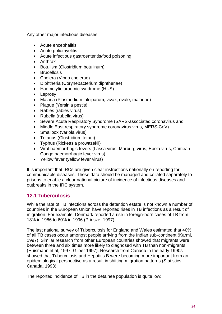Any other major infectious diseases:

- Acute encephalitis
- Acute poliomyelitis
- Acute infectious gastroenteritis/food poisoning
- Anthrax
- Botulism (Clostridium botulinum)
- Brucellosis
- Cholera (Vibrio cholerae)
- Diphtheria (Corynebacterium diphtheriae)
- Haemolytic uraemic syndrome (HUS)
- Leprosy
- Malaria (Plasmodium falciparum, vivax, ovale, malariae)
- Plaque (Yersinia pestis)
- Rabies (rabies virus)
- Rubella (rubella virus)
- Severe Acute Respiratory Syndrome (SARS-associated coronavirus and
- Middle East respiratory syndrome coronavirus virus, MERS-CoV)
- Smallpox (variola virus)
- Tetanus (Clostridium tetani)
- Typhus (Rickettsia prowazekii)
- Viral haemorrhagic fevers (Lassa virus, Marburg virus, Ebola virus, Crimean-Congo haemorrhagic fever virus)
- Yellow fever (yellow fever virus)

It is important that IRCs are given clear instructions nationally on reporting for communicable diseases. These data should be managed and collated separately to prisons to enable a clear national picture of incidence of infectious diseases and outbreaks in the IRC system.

#### <span id="page-23-0"></span>**12.1Tuberculosis**

While the rate of TB infections across the detention estate is not known a number of countries in the European Union have reported rises in TB infections as a result of migration. For example, Denmark reported a rise in foreign-born cases of TB from 18% in 1986 to 60% in 1996 (Prinsze, 1997).

The last national survey of Tuberculosis for England and Wales estimated that 40% of all TB cases occur amongst people arriving from the Indian sub-continent (Karmi, 1997). Similar research from other European countries showed that migrants were between three and six times more likely to diagnosed with TB than non-migrants (Huismann et al, 1997; Gliber 1997). Research from Canada in the early 1990s showed that Tuberculosis and Hepatitis B were becoming more important from an epidemiological perspective as a result in shifting migration patterns (Statistics Canada, 1993).

The reported incidence of TB in the detainee population is quite low: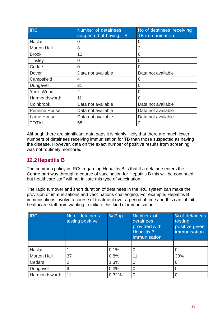| <b>IRC</b>           | Number of detainees<br>suspected of having TB | No of detainees receiving<br><b>TB</b> immunisation |
|----------------------|-----------------------------------------------|-----------------------------------------------------|
| Haslar               | 0                                             | 0                                                   |
| <b>Morton Hall</b>   | 8                                             | $\overline{2}$                                      |
| <b>Brook</b>         | 12                                            | 0                                                   |
| <b>Tinsley</b>       | 0                                             | 0                                                   |
| Cedars               | $\overline{0}$                                | 0                                                   |
| Dover                | Data not available                            | Data not available                                  |
| Campsfield           | 4                                             | 0                                                   |
| Dungavel             | 21                                            | 0                                                   |
| Yarl's Wood          | $\overline{2}$                                | 0                                                   |
| Harmondsworth        | 11                                            | 0                                                   |
| Colnbrook            | Data not available                            | Data not available                                  |
| <b>Pennine House</b> | Data not available                            | Data not available                                  |
| Larne House          | Data not available                            | Data not available                                  |
| TOTAL                | 58                                            | $\overline{2}$                                      |

Although there are significant data gaps it is highly likely that there are much lower numbers of detainees receiving immunisation for TB than those suspected as having the disease. However, data on the exact number of positive results from screening was not routinely monitored.

#### <span id="page-24-0"></span>**12.2Hepatitis B**

The common policy in IRCs regarding Hepatitis B is that if a detainee enters the Centre part way through a course of vaccination for Hepatitis B this will be continued but healthcare staff will not initiate this type of vaccination.

The rapid turnover and short duration of detainees in the IRC system can make the provision of immunisations and vaccinations challenging. For example, Hepatitis B immunisations involve a course of treatment over a period of time and this can inhibit healthcare staff from wanting to initiate this kind of immunisation.

| <b>IRC</b>         | No of detainees<br>testing positive | % Pop | Numbers of<br>detainees<br>provided with<br><b>Hepatitis B</b><br>immunisation | % of detainees<br>testing<br>positive given<br>immunisation |
|--------------------|-------------------------------------|-------|--------------------------------------------------------------------------------|-------------------------------------------------------------|
|                    |                                     |       |                                                                                |                                                             |
| Haslar             |                                     | 0.1%  | 0                                                                              |                                                             |
| <b>Morton Hall</b> | 37                                  | 0.8%  | 11                                                                             | 30%                                                         |
| Cedars             | 2                                   | 1.3%  | $\overline{0}$                                                                 |                                                             |
| Dungavel           | 9                                   | 0.3%  | $\overline{0}$                                                                 |                                                             |
| Harmondsworth      | 11                                  | 0.32% | 0                                                                              |                                                             |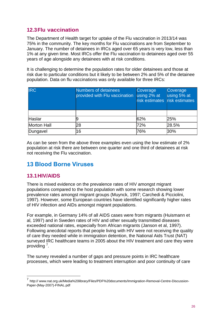#### <span id="page-25-0"></span>**12.3Flu vaccination**

The Department of Health target for uptake of the Flu vaccination in 2013/14 was 75% in the community. The key months for Flu vaccinations are from September to January. The number of detainees in IRCs aged over 65 years is very low, less than 1% at any given time. Most IRCs offer the Flu vaccination to detainees aged over 55 years of age alongside any detainees with at risk conditions.

It is challenging to determine the population rates for older detainees and those at risk due to particular conditions but it likely to be between 2% and 5% of the detainee population. Data on flu vaccinations was only available for three IRCs:

| <b>IRC</b>         | Numbers of detainees<br>provided with Flu vaccination | Coverage<br>using 2% at<br>risk estimates risk estimates | Coverage<br>using 5% at |
|--------------------|-------------------------------------------------------|----------------------------------------------------------|-------------------------|
|                    |                                                       |                                                          |                         |
| Haslar             |                                                       | 62%                                                      | 25%                     |
| <b>Morton Hall</b> | 28                                                    | 72%                                                      | 28.5%                   |
| Dungavel           | 16                                                    | 76%                                                      | 30%                     |

As can be seen from the above three examples even using the low estimate of 2% population at risk there are between one quarter and one third of detainees at risk not receiving the Flu vaccination.

## <span id="page-25-1"></span>**13 Blood Borne Viruses**

#### <span id="page-25-2"></span>**13.1HIV/AIDS**

There is mixed evidence on the prevalence rates of HIV amongst migrant populations compared to the host population with some research showing lower prevalence rates amongst migrant groups (Muynck, 1997; Carchedi & Picciolini, 1997). However, some European countries have identified significantly higher rates of HIV infection and AIDs amongst migrant populations.

For example, in Germany 14% of all AIDS cases were from migrants (Huismann et al, 1997) and in Sweden rates of HIV and other sexually transmitted diseases exceeded national rates, especially from African migrants (Janson et al, 1997). Following anecdotal reports that people living with HIV were not receiving the quality of care they needed while in immigration detention, the National Aids Trust (NAT) surveyed IRC healthcare teams in 2005 about the HIV treatment and care they were providing<sup>7</sup>.

The survey revealed a number of gaps and pressure points in IRC healthcare processes, which were leading to treatment interruption and poor continuity of care

 7 http:// www.nat.org.uk/Media%20library/Files/PDF%20documents/Immigration-Removal-Centre-Discussion-Paper-(May-2007)-FINAL.pdf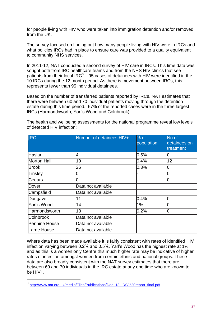for people living with HIV who were taken into immigration detention and/or removed from the UK.

The survey focused on finding out how many people living with HIV were in IRCs and what policies IRCs had in place to ensure care was provided to a quality equivalent to community NHS services.

In 2011-12, NAT conducted a second survey of HIV care in IRCs. This time data was sought both from IRC healthcare teams and from the NHS HIV clinics that see patients from their local IRC $<sup>8</sup>$ . 95 cases of detainees with HIV were identified in the</sup> 10 IRCs during the 12 month period. As there is movement between IRCs, this represents fewer than 95 individual detainees.

Based on the number of transferred patients reported by IRCs, NAT estimates that there were between 60 and 70 individual patients moving through the detention estate during this time period. 67% of the reported cases were in the three largest IRCs (Harmondsworth, Yarl's Wood and Colnbrook).

| <b>IRC</b>         | Number of detainees HIV+ | $%$ of<br>population | No of<br>detainees on<br>treatment |
|--------------------|--------------------------|----------------------|------------------------------------|
| Haslar             | 14                       | 0.5%                 |                                    |
| <b>Morton Hall</b> | 19                       | 0.4%                 | 12                                 |
| <b>Brook</b>       | 26                       | 0.3%                 | 0                                  |
| Tinsley            |                          |                      |                                    |
| Cedars             |                          |                      | U                                  |
| Dover              | Data not available       |                      |                                    |
| Campsfield         | Data not available       |                      |                                    |
| Dungavel           | 11                       | 0.4%                 | 0                                  |
| Yarl's Wood        | 14                       | 1%                   | 0                                  |
| Harmondsworth      | 13                       | 0.2%                 | 0                                  |
| <b>Colnbrook</b>   | Data not available       |                      |                                    |
| Pennine House      | Data not available       |                      |                                    |
| Larne House        | Data not available       |                      |                                    |

The health and wellbeing assessments for the national programme reveal low levels of detected HIV infection:

Where data has been made available it is fairly consistent with rates of identified HIV infection varying between 0.2% and 0.5%. Yarl's Wood has the highest rate at 1% and as this is a women only Centre this much higher rate may be indicative of higher rates of infection amongst women from certain ethnic and national groups. These data are also broadly consistent with the NAT survey estimates that there are between 60 and 70 individuals in the IRC estate at any one time who are known to be HIV+.

1

<sup>8</sup> [http://www.nat.org.uk/media/Files/Publications/Dec\\_13\\_IRC%20report\\_final.pdf](http://www.nat.org.uk/media/Files/Publications/Dec_13_IRC%20report_final.pdf)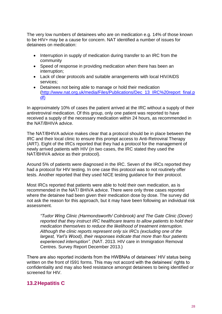The very low numbers of detainees who are on medication e.g. 14% of those known to be HIV+ may be a cause for concern. NAT identified a number of issues for detainees on medication:

- Interruption in supply of medication during transfer to an IRC from the community
- Speed of response in providing medication when there has been an interruption;
- Lack of clear protocols and suitable arrangements with local HIV/AIDS services;
- Detainees not being able to manage or hold their medication [\(http://www.nat.org.uk/media/Files/Publications/Dec\\_13\\_IRC%20report\\_final.p](http://www.nat.org.uk/media/Files/Publications/Dec_13_IRC%20report_final.pdf) [df\)](http://www.nat.org.uk/media/Files/Publications/Dec_13_IRC%20report_final.pdf)

In approximately 10% of cases the patient arrived at the IRC without a supply of their antiretroviral medication. Of this group, only one patient was reported to have received a supply of the necessary medication within 24 hours, as recommended in the NAT/BHIVA advice.

The NAT/BHIVA advice makes clear that a protocol should be in place between the IRC and their local clinic to ensure this prompt access to Anti-Retroviral Therapy (ART). Eight of the IRCs reported that they had a protocol for the management of newly arrived patients with HIV (in two cases, the IRC stated they used the NAT/BHIVA advice as their protocol).

Around 5% of patients were diagnosed in the IRC. Seven of the IRCs reported they had a protocol for HIV testing. In one case this protocol was to not routinely offer tests. Another reported that they used NICE testing guidance for their protocol.

Most IRCs reported that patients were able to hold their own medication, as is recommended in the NAT/ BHIVA advice. There were only three cases reported where the detainee had been given their medication dose by dose. The survey did not ask the reason for this approach, but it may have been following an individual risk assessment.

*"Tudor Wing Clinic (Harmondsworth/ Colnbrook) and The Gate Clinic (Dover) reported that they instruct IRC healthcare teams to allow patients to hold their medication themselves to reduce the likelihood of treatment interruption. Although the clinic reports represent only six IRCs (excluding one of the largest, Yarl's Wood), their responses indicate that more than four patients experienced interruption".* (NAT. 2013. HIV care in Immigration Removal Centres. Survey Report December 2013.)

There are also reported incidents from the HWBNAs of detainees' HIV status being written on the front of IS91 forms. This may not accord with the detainees' rights to confidentiality and may also feed resistance amongst detainees to being identified or screened for HIV.

#### <span id="page-27-0"></span>**13.2Hepatitis C**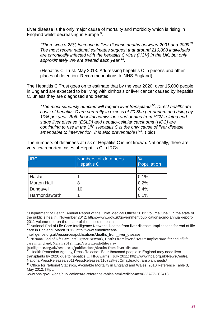Liver disease is the only major cause of mortality and morbidity which is rising in England whilst decreasing in Europe<sup>9</sup>.

*"There was a 25% increase in liver disease deaths between 2001 and 2009<sup>10</sup> . The most recent national estimates suggest that around 216,000 individuals are chronically infected with the hepatitis C virus (HCV) in the UK, but only approximately 3% are treated each year <sup>11</sup> .*

(Hepatitis C Trust. May 2013. Addressing hepatitis C in prisons and other places of detention: Recommendations to NHS England).

The Hepatitis C Trust goes on to estimate that by the year 2020, over 15,000 people in England are expected to be living with cirrhosis or liver cancer caused by hepatitis C, unless they are diagnosed and treated.

*"The most seriously affected will require liver transplants<sup>12</sup>. Direct healthcare costs of hepatitis C are currently in excess of £0.5bn per annum and rising by 10% per year. Both hospital admissions and deaths from HCV-related end stage liver disease (ESLD) and hepato-cellular carcinoma (HCC) are continuing to rise in the UK. Hepatitis C is the only cause of liver disease amendable to intervention. It is also preventable1"<sup>13</sup> .* (Ibid)

The numbers of detainees at risk of Hepatitis C is not known. Nationally, there are very few reported cases of Hepatitis C in IRCs.

| <b>IRC</b>         | Numbers of detainees<br><b>Hepatitis C</b> | $\frac{0}{0}$<br>Population |
|--------------------|--------------------------------------------|-----------------------------|
|                    |                                            |                             |
| Haslar             |                                            | 0.1%                        |
| <b>Morton Hall</b> | 8                                          | 0.2%                        |
| Dungavel           | 10                                         | 0.4%                        |
| Harmondsworth      |                                            | 0.1%                        |

<sup>&</sup>lt;sup>9</sup> Department of Health, Annual Report of the Chief Medical Officer 2011: Volume One 'On the state of the public's [health', November 2012: https://www.](http://www.gov.uk/government/publications/cmo-annual-report-2011-volume-one-on-the-)go[v.uk/government/publications/cmo-annual-report-](http://www.gov.uk/government/publications/cmo-annual-report-2011-volume-one-on-the-)[2011-volume-one-on-the-](http://www.gov.uk/government/publications/cmo-annual-report-2011-volume-one-on-the-) state-of-the public-s-health

 $\overline{a}$ 

[intelligence.org.uk/resources/publications/deaths\\_from\\_liver\\_disease](http://www.endoflifecare-intelligence.org.uk/resources/publications/deaths_from_liver_disease)

[www.ons.gov.uk/ons/publications/re-reference-tables.html?edition=tcm%3A77-262418](http://www.ons.gov.uk/ons/publications/re-reference-tables.html?edition=tcm%3A77-262418)

<sup>&</sup>lt;sup>10</sup> National End of Life Care Intelligence Network, Deaths from liver disease: Implications for end of life care in England, March 2012: http://www.endoflifecare-

intelligence.org.uk/resources/publications/deaths\_from\_liver\_disease

<sup>&</sup>lt;sup>11</sup> National End of Life Care Intelligence Network, Deaths from liver disease: Implications for end of life care in England, March [2012: http://www.endoflifecare-](http://www.endoflifecare-intelligence.org.uk/resources/publications/deaths_from_liver_disease)

<sup>&</sup>lt;sup>12</sup> Health Protection Agency, Press Release: 'Four thousand people in England may need liver transplants by 2020 due to hepatitis C, HPA warns', July 20[11: http://www.hpa.org.uk/NewsCentre/](http://www.hpa.org.uk/NewsCentre/) NationalPressReleases/2011PressReleases/110728HepCmayleadtotransplantneeds/

<sup>&</sup>lt;sup>13</sup> Office for National Statistics, Avoidable Mortality in England and Wales, 2010 Reference Table 3, May 2012: http://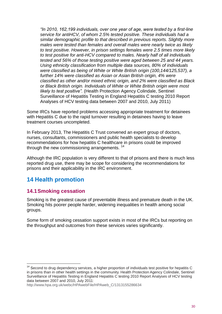*"In 2010, 162,199 individuals, over one year of age, were tested by a first-line service for antiHCV, of whom 2.5% tested positive. These individuals had a similar demographic profile to that described in previous reports. Slightly more males were tested than females and overall males were nearly twice as likely to test positive. However, in prison settings females were 2.5 times more likely to test positive for anti-HCV compared to males. Nearly half of all individuals tested and 56% of those testing positive were aged between 25 and 44 years. Using ethnicity classification from multiple data sources, 80% of individuals were classified as being of White or White British origin (100,144/125,537), a further 14% were classified as Asian or Asian British origin, 4% were classified as other and/or mixed ethnic origin, and 2% were classified as Black or Black British origin. Individuals of White or White British origin were most likely to test positive".* (Health Protection Agency Colindale, Sentinel Surveillance of Hepatitis Testing in England Hepatitis C testing 2010 Report Analyses of HCV testing data between 2007 and 2010, July 2011)

Some IRCs have reported problems accessing appropriate treatment for detainees with Hepatitis C due to the rapid turnover resulting in detainees having to leave treatment courses uncompleted.

In February 2013, The Hepatitis C Trust convened an expert group of doctors, nurses, consultants, commissioners and public health specialists to develop recommendations for how hepatitis C healthcare in prisons could be improved through the new commissioning arrangements.<sup>14</sup>

Although the IRC population is very different to that of prisons and there is much less reported drug use, there may be scope for considering the recommendations for prisons and their applicability in the IRC environment.

# <span id="page-29-0"></span>**14 Health promotion**

#### <span id="page-29-1"></span>**14.1Smoking cessation**

 $\overline{a}$ 

Smoking is the greatest cause of preventable illness and premature death in the UK. Smoking hits poorer people harder, widening inequalities in health among social groups.

Some form of smoking cessation support exists in most of the IRCs but reporting on the throughput and outcomes from these services varies significantly.

 $14$  Second to drug dependency services, a higher proportion of individuals test positive for hepatitis C in prisons than in other health settings in the community. Health Protection Agency Colindale, Sentinel Surveillance of Hepatitis Testing in England Hepatitis C testing 2010 Report Analyses of HCV testing data between 2007 and 2010, July 2011[:](http://www.hpa.org.uk/webc/HPAwebFile/HPAweb_C/1313155286634)

[http://www.hpa.org.uk/webc/HPAwebFile/HPAweb\\_C/1313155286634](http://www.hpa.org.uk/webc/HPAwebFile/HPAweb_C/1313155286634)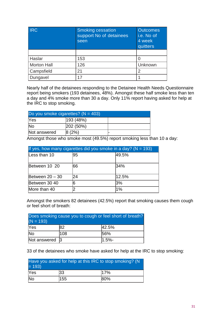| <b>IRC</b>         | <b>Smoking cessation</b><br>support No of detainees<br>seen | <b>Outcomes</b><br>i.e. No of<br>4 week<br>quitters |
|--------------------|-------------------------------------------------------------|-----------------------------------------------------|
|                    |                                                             |                                                     |
| Haslar             | 153                                                         |                                                     |
| <b>Morton Hall</b> | 126                                                         | Unknown                                             |
| Campsfield         | 21                                                          | 2                                                   |
| Dungavel           | 17                                                          |                                                     |

Nearly half of the detainees responding to the Detainee Health Needs Questionnaire report being smokers (193 detainees, 48%). Amongst these half smoke less than ten a day and 4% smoke more than 30 a day. Only 11% report having asked for help at the IRC to stop smoking.

| Do you smoke cigarettes? ( $N = 403$ ) |                 |  |
|----------------------------------------|-----------------|--|
| <b>Yes</b>                             | (193 (48%)      |  |
| <b>No</b>                              | $ 202 \ (50\%)$ |  |
| Not answered                           | l8 (2%)         |  |

Amongst those who smoke most (49.5%) report smoking less than 10 a day:

| If yes, how many cigarettes did you smoke in a day? ( $N = 193$ ) |    |       |  |
|-------------------------------------------------------------------|----|-------|--|
| Less than 10                                                      | 95 | 49.5% |  |
| Between 10 20                                                     | 66 | 34%   |  |
| Between $20 - 30$                                                 | 24 | 12.5% |  |
| Between 30 40                                                     | 16 | 3%    |  |
| More than 40                                                      |    | $1\%$ |  |

Amongst the smokers 82 detainees (42.5%) report that smoking causes them cough or feel short of breath:

| Does smoking cause you to cough or feel short of breath?<br>$(N = 193)$ |     |            |  |
|-------------------------------------------------------------------------|-----|------------|--|
| <b>Yes</b>                                                              | 82  | 42.5%      |  |
| <b>No</b>                                                               | 108 | 56%        |  |
| Not answered 3                                                          |     | $11.5\% -$ |  |

33 of the detainees who smoke have asked for help at the IRC to stop smoking:

| $= 193$        | Have you asked for help at this IRC to stop smoking? (N |     |
|----------------|---------------------------------------------------------|-----|
| Yes            | 33                                                      | 17% |
| N <sub>o</sub> | 155                                                     | 80% |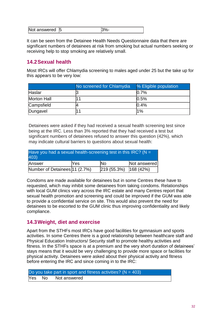| Not answered<br>15 |  |
|--------------------|--|
|--------------------|--|

It can be seen from the Detainee Health Needs Questionnaire data that there are significant numbers of detainees at risk from smoking but actual numbers seeking or receiving help to stop smoking are relatively small.

#### <span id="page-31-0"></span>**14.2Sexual health**

Most IRCs will offer Chlamydia screening to males aged under 25 but the take up for this appears to be very low:

|                    | No screened for Chlamydia | % Eligible population |
|--------------------|---------------------------|-----------------------|
| Haslar             |                           | 0.7%                  |
| <b>Morton Hall</b> |                           | 0.5%                  |
| Campsfield         |                           | 0.4%                  |
| Dungavel           |                           | 1%                    |

Detainees were asked if they had received a sexual health screening test since being at the IRC. Less than 3% reported that they had received a test but significant numbers of detainees refused to answer this question (42%), which may indicate cultural barriers to questions about sexual health:

| Have you had a sexual health-screening test in this IRC? ( $N =$<br>403) |            |                                                         |              |
|--------------------------------------------------------------------------|------------|---------------------------------------------------------|--------------|
| Answer                                                                   | <b>Yes</b> | lNo                                                     | Not answered |
| Number of Detainees 11 (2.7%)                                            |            | $\left  219 \right  (55.3\%) \left  168 \right  (42\%)$ |              |

Condoms are made available for detainees but in some Centres these have to requested, which may inhibit some detainees from taking condoms. Relationships with local GUM clinics vary across the IRC estate and many Centres report that sexual health promotion and screening and could be improved if the GUM was able to provide a confidential service on site. This would also prevent the need for detainees to be escorted to the GUM clinic thus improving confidentiality and likely compliance.

#### <span id="page-31-1"></span>**14.3Weight, diet and exercise**

Apart from the STHFs most IRCs have good facilities for gymnasium and sports activities. In some Centres there is a good relationship between healthcare staff and Physical Education Instructors/ Security staff to promote healthy activities and fitness. In the STHFs space is at a premium and the very short duration of detainees' stays means that it would be very challenging to provide more space or facilities for physical activity. Detainees were asked about their physical activity and fitness before entering the IRC and since coming in to the IRC:

|  | Do you take part in sport and fitness activities? ( $N = 403$ ) |  |
|--|-----------------------------------------------------------------|--|
|  | Yes No Not answered                                             |  |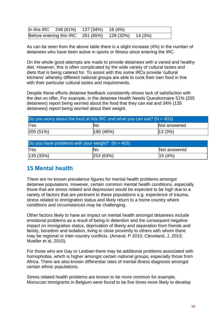| In this IRC 248 (61%) 137 (34%) 18 (4%) |                                                      |  |
|-----------------------------------------|------------------------------------------------------|--|
|                                         | Before entering this IRC 261 (65%) 128 (32%) 14 (3%) |  |

As can be seen from the above table there is a slight increase (4%) in the number of detainees who have been active in sports or fitness since entering the IRC.

On the whole good attempts are made to provide detainees with a varied and healthy diet. However, this is often complicated by the wide variety of cultural tastes and diets that is being catered for. To assist with this some IRCs provide 'cultural kitchens' whereby different national groups are able to cook their own food in line with their particular cultural tastes and requirements.

Despite these efforts detainee feedback consistently shows lack of satisfaction with the diet on offer. For example, in the detainee Health Needs Questionnaire 51% (205 detainees) report being worried about the food that they can eat and 34% (135 detainees) report being worried about their weight.

| Do you worry about the food at this IRC and what you can eat? ( $N = 403$ ) |  |  |  |  |  |  |
|-----------------------------------------------------------------------------|--|--|--|--|--|--|
| <b>Yes</b><br>Not answered<br>lNo                                           |  |  |  |  |  |  |
| 205(51%)<br> 185(46%)<br> 13(3%)                                            |  |  |  |  |  |  |

| Do you have problems with your weight? $(N = 403)$ |     |              |  |  |  |  |
|----------------------------------------------------|-----|--------------|--|--|--|--|
| <b>Yes</b>                                         | lΝo | Not answered |  |  |  |  |
| 15(4%)<br>$ 135(33\%)$<br>253 (63%)                |     |              |  |  |  |  |

## <span id="page-32-0"></span>**15 Mental health**

There are no known prevalence figures for mental health problems amongst detainee populations. However, certain common mental health conditions, especially those that are stress related and depression would be expected to be high due to a variety of factors that are pertinent to these populations e.g. experience of trauma, stress related to immigration status and likely return to a home country where conditions and circumstances may be challenging.

Other factors likely to have an impact on mental health amongst detainees include emotional problems as a result of being in detention and the consequent negative impact on immigration status, deprivation of liberty and separation from friends and family, boredom and isolation, living in close proximity to others with whom there may be regional or inter-country conflicts. (Amaral, P 2010; Cleveland, J, 2013; Mueller et al, 2010).

For those who are Gay or Lesbian there may be additional problems associated with homophobia, which is higher amongst certain national groups, especially those from Africa. There are also known differential rates of mental illness diagnosis amongst certain ethnic populations.

Stress related health problems are known to be more common for example, Moroccan immigrants in Belgium were found to be five times more likely to develop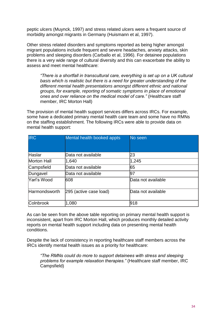peptic ulcers (Muynck, 1997) and stress related ulcers were a frequent source of morbidity amongst migrants in Germany (Huismann et al, 1997).

Other stress related disorders and symptoms reported as being higher amongst migrant populations include frequent and severe headaches, anxiety attacks, skin problems and sleeping disorders (Carballo et al, 1996). For detainee populations there is a very wide range of cultural diversity and this can exacerbate the ability to assess and meet mental healthcare:

*"There is a shortfall in transcultural care, everything is set up on a UK cultural basis which is realistic but there is a need for greater understanding of the different mental health presentations amongst different ethnic and national groups, for example, reporting of somatic symptoms in place of emotional ones and over reliance on the medical model of care."* (Healthcare staff member, IRC Morton Hall)

The provision of mental health support services differs across IRCs. For example, some have a dedicated primary mental health care team and some have no RMNs on the staffing establishment. The following IRCs were able to provide data on mental health support:

| <b>IRC</b>         | Mental health booked appts | No seen            |
|--------------------|----------------------------|--------------------|
| Haslar             | lData not available        | 23                 |
| <b>Morton Hall</b> | 1,640                      | 1,245              |
| Campsfield         | Data not available         | 65                 |
| Dungavel           | Data not available         | 97                 |
| Yarl's Wood        | 608                        | Data not available |
| Harmondsworth      | 295 (active case load)     | Data not available |
| <b>Colnbrook</b>   | 1,080                      | 918                |

As can be seen from the above table reporting on primary mental health support is inconsistent, apart from IRC Morton Hall, which produces monthly detailed activity reports on mental health support including data on presenting mental health conditions.

Despite the lack of consistency in reporting healthcare staff members across the IRCs identify mental health issues as a priority for healthcare:

*"The RMNs could do more to support detainees with stress and sleeping problems for example relaxation therapies."* (Healthcare staff member, IRC Campsfield)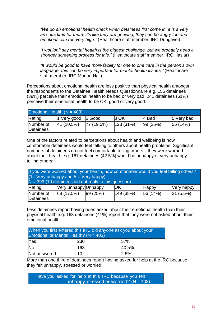*"We do an emotional health check when detainees first come in, it is a very anxious time for them, it's like they are grieving, they can be angry too and emotions can run very high."* (Healthcare staff member, IRC Dungavel)

*"I wouldn't say mental health is the biggest challenge, but we probably need a stronger screening process for this."* (Healthcare staff member, IRC Haslar)

*"It would be good to have more facility for one to one care in the person's own language, this can be very important for mental health issues."* (Healthcare staff member, IRC Morton Hall)

Perceptions about emotional health are less positive than physical health amongst the respondents to the Detainee Health Needs Questionnaire e.g. 155 detainees (39%) perceive their emotional health to be bad or very bad. 241 detainees (61%) perceive their emotional health to be OK, good or very good:

| Emotional Health $(N = 403)$ |                    |           |              |         |             |
|------------------------------|--------------------|-----------|--------------|---------|-------------|
| Rating                       | 1 Very good 2 Good |           | <b>3 OK</b>  | 4 Bad   | 5 Very bad  |
| Number of<br>Detainees       | 41 (10.5%)         | 77(19.5%) | $ 123(31\%)$ | 99(25%) | $ 56(14\%)$ |

One of the factors related to perceptions about health and wellbeing is how comfortable detainees would feel talking to others about health problems. Significant numbers of detainees do not feel comfortable telling others if they were worried about their health e.g. 167 detainees (42.5%) would be unhappy or very unhappy telling others:

| If you were worried about your health, how comfortable would you feel telling others?<br>$(1 = \text{Very unhappy and } 5 = \text{Very happy})$<br>$N = 393$ (10 detainees did not reply to this question) |                                                            |         |          |         |          |  |
|------------------------------------------------------------------------------------------------------------------------------------------------------------------------------------------------------------|------------------------------------------------------------|---------|----------|---------|----------|--|
| Rating                                                                                                                                                                                                     | Very unhappy Unhappy<br>IOK<br><b>Nery happy</b><br> Happy |         |          |         |          |  |
| Number of<br>Detainees                                                                                                                                                                                     | 68(17.5%)                                                  | 99(25%) | 149(38%) | 56(14%) | 21(5.5%) |  |

Less detainees report having been asked about their emotional health than their physical health e.g. 163 detainees (41%) report that they were not asked about their emotional health:

| When you first entered this IRC did anyone ask you about your<br>Emotional or Mental Health? ( $N = 403$ ) |            |       |  |  |
|------------------------------------------------------------------------------------------------------------|------------|-------|--|--|
| <b>Yes</b>                                                                                                 | <b>230</b> | 157%  |  |  |
| <b>No</b>                                                                                                  | 163        | 40.5% |  |  |
| Not answered                                                                                               | 10         | 2.5%  |  |  |

More than one third of detainees report having asked for help at the IRC because they felt unhappy, stressed or worried:

Have you asked for help at this IRC because you felt unhappy, stressed or worried?  $(N = 403)$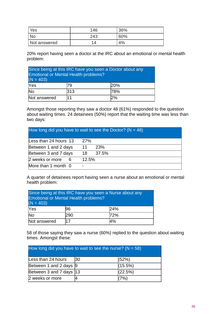| Yes          | 146 | 36% |
|--------------|-----|-----|
| <b>No</b>    | 243 | 60% |
| Not answered | 14  | 4%  |

20% report having seen a doctor at the IRC about an emotional or mental health problem:

| Since being at this IRC have you seen a Doctor about any<br><b>Emotional or Mental Health problems?</b><br>$(N = 403)$ |      |     |  |  |  |
|------------------------------------------------------------------------------------------------------------------------|------|-----|--|--|--|
| Yes                                                                                                                    | 79   | 20% |  |  |  |
| <b>No</b><br>313<br>78%                                                                                                |      |     |  |  |  |
| Not answered                                                                                                           | l1 1 | 2%  |  |  |  |

Amongst those reporting they saw a doctor 48 (61%) responded to the question about waiting times. 24 detainees (50%) report that the waiting time was less than two days:

| How long did you have to wait to see the Doctor? ( $N = 48$ ) |                          |       |
|---------------------------------------------------------------|--------------------------|-------|
| Less than 24 hours $13$                                       | <b>27%</b>               |       |
| Between 1 and 2 days                                          | 11                       | 23%   |
| Between 3 and 7 days                                          | 18                       | 37.5% |
| 2 weeks or more<br>- 6                                        | 12.5%                    |       |
| More than 1 month 0                                           | $\overline{\phantom{a}}$ |       |

A quarter of detainees report having seen a nurse about an emotional or mental health problem:

| Since being at this IRC have you seen a Nurse about any<br><b>Emotional or Mental Health problems?</b><br>$(N = 403)$ |          |     |  |  |  |  |
|-----------------------------------------------------------------------------------------------------------------------|----------|-----|--|--|--|--|
| Yes                                                                                                                   | 196      | 24% |  |  |  |  |
| <b>No</b><br>72%<br>290                                                                                               |          |     |  |  |  |  |
| Not answered                                                                                                          | 4%<br>17 |     |  |  |  |  |

58 of those saying they saw a nurse (60%) replied to the question about waiting times. Amongst these:

| How long did you have to wait to see the nurse? ( $N = 58$ ) |  |         |  |  |
|--------------------------------------------------------------|--|---------|--|--|
| Less than 24 hours<br>(52%)<br>130                           |  |         |  |  |
| Between 1 and 2 days 9                                       |  | (15.5%) |  |  |
| (22.5%)<br>Between 3 and 7 days 13                           |  |         |  |  |
| 2 weeks or more                                              |  | $7\%$ ) |  |  |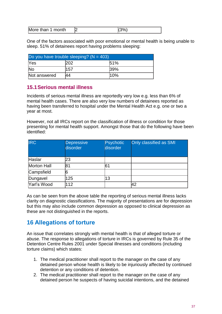| More than 1 month |  |
|-------------------|--|

One of the factors associated with poor emotional or mental health is being unable to sleep. 51% of detainees report having problems sleeping:

| Do you have trouble sleeping? ( $N = 403$ ) |     |      |  |  |
|---------------------------------------------|-----|------|--|--|
| 151%<br><b>Yes</b>                          |     |      |  |  |
| lNo                                         | 157 | 139% |  |  |
| 10%<br>Not answered<br>44                   |     |      |  |  |

# **15.1Serious mental illness**

Incidents of serious mental illness are reportedly very low e.g. less than 6% of mental health cases. There are also very low numbers of detainees reported as having been transferred to hospital under the Mental Health Act e.g. one or two a year at most.

However, not all IRCs report on the classification of illness or condition for those presenting for mental health support. Amongst those that do the following have been identified:

| <b>IRC</b>  | <b>Depressive</b><br>disorder | <b>Psychotic</b><br>disorder | Only classified as SMI |
|-------------|-------------------------------|------------------------------|------------------------|
| Haslar      | 23                            |                              |                        |
| Morton Hall | 81                            | 161                          |                        |
| Campsfield  | 6                             |                              |                        |
| Dungavel    | 125                           | 13                           |                        |
| Yarl's Wood | 112                           |                              | 42                     |

As can be seen from the above table the reporting of serious mental illness lacks clarity on diagnostic classifications. The majority of presentations are for depression but this may also include common depression as opposed to clinical depression as these are not distinguished in the reports.

# **16 Allegations of torture**

An issue that correlates strongly with mental health is that of alleged torture or abuse. The response to allegations of torture in IRCs is governed by Rule 35 of the Detention Centre Rules 2001 under Special illnesses and conditions (including torture claims) which states:

- 1. The medical practitioner shall report to the manager on the case of any detained person whose health is likely to be injuriously affected by continued detention or any conditions of detention.
- 2. The medical practitioner shall report to the manager on the case of any detained person he suspects of having suicidal intentions, and the detained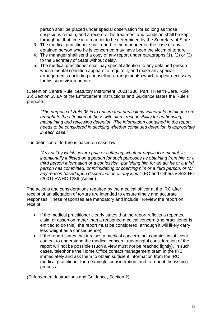person shall be placed under special observation for so long as those suspicions remain, and a record of his treatment and condition shall be kept throughout that time in a manner to be determined by the Secretary of State.

- 3. The medical practitioner shall report to the manager on the case of any detained person who he is concerned may have been the victim of torture.
- 4. The manager shall send a copy of any report under paragraphs (1), (2) or (3) to the Secretary of State without delay.
- 5. The medical practitioner shall pay special attention to any detained person whose mental condition appears to require it, and make any special arrangements (including counselling arrangements) which appear necessary for his supervision or care.

(Detention Centre Rule, Statutory Instrument, 2001: 238. Part II Health Care, Rule 35) Section 55.8A of the Enforcement Instructions and Guidance states the Rule's purpose:

*"The purpose of Rule 35 is to ensure that particularly vulnerable detainees are brought to the attention of those with direct responsibility for authorising, maintaining and reviewing detention. The information contained in the report needs to be considered in deciding whether continued detention is appropriate in each case."*

The definition of torture is based on case law:

*"Any act by which severe pain or suffering, whether physical or mental, is intentionally inflicted on a person for such purposes as obtaining from him or a third person information or a confession, punishing him for an act he or a third person has committed, or intimidating or coercing him or a third person, or for any reason based upon discrimination of any kind."* (EO and Others v SoS HO (2001) EWHC 1236 (Admin).

The actions and considerations required by the medical officer at the IRC after receipt of an allegation of torture are intended to ensure timely and accurate responses. These responses are mandatory and include: Review the report on receipt:

- If the medical practitioner clearly states that the report reflects a repeated claim or assertion rather than a reasoned medical concern (the practitioner is entitled to do this), the report must be considered, although it will likely carry less weight as a consequence);
- If the report states that it raises a medical concern, but contains insufficient content to understand the medical concern, meaningful consideration of the report will not be possible (such a view must not be reached lightly). In such cases, telephone the Home Office contact management team in the IRC immediately and ask them to obtain sufficient information from the IRC medical practitioner for meaningful consideration, and to repeat the issuing process.

(Enforcement Instructions and Guidance, Section 2)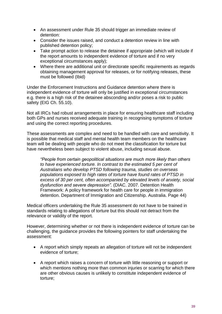- An assessment under Rule 35 should trigger an immediate review of detention:
- Consider the issues raised, and conduct a detention review in line with published detention policy;
- Take prompt action to release the detainee if appropriate (which will include if the report amounts to independent evidence of torture and if no very exceptional circumstances apply);
- Where there are additional unit or directorate specific requirements as regards obtaining management approval for releases, or for notifying releases, these must be followed (Ibid)

Under the Enforcement Instructions and Guidance detention where there is independent evidence of torture will only be justified in exceptional circumstances e.g. there is a high risk of the detainee absconding and/or poses a risk to public safety (EIG Ch. 55.10).

Not all IRCs had robust arrangements in place for ensuring healthcare staff including both GPs and nurses received adequate training in recognising symptoms of torture and using the correct reporting procedures.

These assessments are complex and need to be handled with care and sensitivity. It is possible that medical staff and mental health team members on the healthcare team will be dealing with people who do not meet the classification for torture but have nevertheless been subject to violent abuse, including sexual abuse.

*"People from certain geopolitical situations are much more likely than others to have experienced torture. In contrast to the estimated 5 per cent of Australians who develop PTSD following trauma, studies on overseas populations exposed to high rates of torture have found rates of PTSD in excess of 30 per cent, often accompanied by elevated levels of anxiety, social dysfunction and severe depression".* (DIAC. 2007. Detention Health Framework: A policy framework for health care for people in immigration detention. Department of Immigration and Citizenship. Australia. Page 44)

Medical officers undertaking the Rule 35 assessment do not have to be trained in standards relating to allegations of torture but this should not detract from the relevance or validity of the report.

However, determining whether or not there is independent evidence of torture can be challenging, the guidance provides the following pointers for staff undertaking the assessment:

- A report which simply repeats an allegation of torture will not be independent evidence of torture;
- A report which raises a concern of torture with little reasoning or support or which mentions nothing more than common injuries or scarring for which there are other obvious causes is unlikely to constitute independent evidence of torture;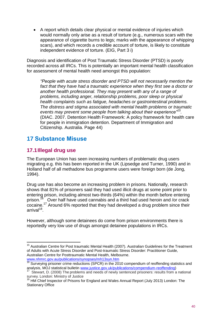A report which details clear physical or mental evidence of injuries which would normally only arise as a result of torture (e.g., numerous scars with the appearance of cigarette burns to legs; marks with the appearance of whipping scars), and which records a credible account of torture, is likely to constitute independent evidence of torture. (EIG, Part 3 i)

Diagnosis and identification of Post Traumatic Stress Disorder (PTSD) is poorly recorded across all IRCs. This is potentially an important mental health classification for assessment of mental health need amongst this population:

*"People with acute stress disorder and PTSD will not necessarily mention the*  fact that they have had a traumatic experience when they first see a doctor or *another health professional. They may present with any of a range of problems, including anger, relationship problems, poor sleep or physical health complaints such as fatigue, headaches or gastrointestinal problems. The distress and stigma associated with mental health problems or traumatic events may prevent some people from talking about their experience"<sup>15</sup> .* (DIAC. 2007. Detention Health Framework: A policy framework for health care for people in immigration detention. Department of Immigration and Citizenship. Australia. Page 44)

# **17 Substance Misuse**

# **17.1Illegal drug use**

 $\overline{a}$ 

The European Union has seen increasing numbers of problematic drug users migrating e.g. this has been reported in the UK (Lipsedge and Turner, 1990) and in Holland half of all methadone bus programme users were foreign born (de Jong, 1994).

Drug use has also become an increasing problem in prisons. Nationally, research shows that 81% of prisoners said they had used illicit drugs at some point prior to entering prison, including almost two-thirds (64%) within the month before entering prison.<sup>16</sup> Over half have used cannabis and a third had used heroin and /or crack cocaine.<sup>17</sup> Around 6% reported that they had developed a drug problem since their arrival<sup>18</sup>.

However, although some detainees do come from prison environments there is reportedly very low use of drugs amongst detainee populations in IRCs.

<sup>&</sup>lt;sup>15</sup> Australian Centre for Post traumatic Mental Health (2007). Australian Guidelines for the Treatment of Adults with Acute Stress Disorder and Post-traumatic Stress Disorder: Practitioner Guide, Australian Centre for Posttraumatic Mental Health, Melbourne. [www.nhmrc.gov.au/publications/synopses/mh13syn.htm](http://www.nhmrc.gov.au/publications/synopses/mh13syn.htm) 

 $16$  Surveying prisoner crime reductions (SPCR) in the 2010 compendium of reoffending statistics and analysis, MOJ statistical bulletin [www.justice.gov.uk/publications/compendium-reoffending\)](http://www.justice.gov.uk/publications/compendium-reoffending)<br><sup>17</sup> Stawert D. (2008) The problems and peeds of pouly septenced prisoners: results from a

Stewart, D. (2008) The problems and needs of newly sentenced prisoners: results from a national survey. London: Ministry of Justice

<sup>&</sup>lt;sup>18</sup> HM Chief Inspector of Prisons for England and Wales Annual Report (July 2013) London: The Stationary Office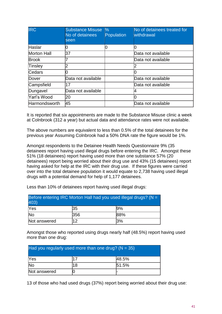| <b>IRC</b>           | <b>Substance Misuse</b><br>No of detainees<br>seen | $\%$<br><b>Population</b> | No of detainees treated for<br>withdrawal |
|----------------------|----------------------------------------------------|---------------------------|-------------------------------------------|
| <b>Haslar</b>        |                                                    |                           |                                           |
| <b>Morton Hall</b>   | 37                                                 |                           | Data not available                        |
| <b>Brook</b>         |                                                    |                           | Data not available                        |
| <b>Tinsley</b>       |                                                    |                           |                                           |
| Cedars               |                                                    |                           |                                           |
| <b>IDover</b>        | Data not available                                 |                           | Data not available                        |
| Campsfield           | 17                                                 |                           | Data not available                        |
| Dungavel             | Data not available                                 |                           |                                           |
| <b>Yarl's Wood</b>   | 20                                                 |                           |                                           |
| <b>Harmondsworth</b> | 45                                                 |                           | Data not available                        |

It is reported that six appointments are made to the Substance Misuse clinic a week at Colnbrook (312 a year) but actual data and attendance rates were not available.

The above numbers are equivalent to less than 0.5% of the total detainees for the previous year Assuming Colnbrook had a 50% DNA rate the figure would be 1%.

Amongst respondents to the Detainee Health Needs Questionnaire 9% (35 detainees report having used illegal drugs before entering the IRC. Amongst these 51% (18 detainees) report having used more than one substance 57% (20 detainees) report being worried about their drug use and 43% (15 detainees) report having asked for help at the IRC with their drug use. If these figures were carried over into the total detainee population it would equate to 2,738 having used illegal drugs with a potential demand for help of 1,177 detainees.

| Before entering IRC Morton Hall had you used illegal drugs? ( $N =$<br>403) |    |     |  |  |
|-----------------------------------------------------------------------------|----|-----|--|--|
| Yes<br>35<br>19%                                                            |    |     |  |  |
| lNo<br>356<br><b>88%</b>                                                    |    |     |  |  |
| Not answered                                                                | 12 | 13% |  |  |

Less than 10% of detainees report having used illegal drugs:

Amongst those who reported using drugs nearly half (48.5%) report having used more than one drug:

| Had you regularly used more than one drug? ( $N = 35$ ) |    |              |  |  |
|---------------------------------------------------------|----|--------------|--|--|
| <b>Yes</b>                                              | 17 | <b>48.5%</b> |  |  |
| lNo                                                     | 18 | 151.5%       |  |  |
| Not answered                                            |    |              |  |  |

13 of those who had used drugs (37%) report being worried about their drug use: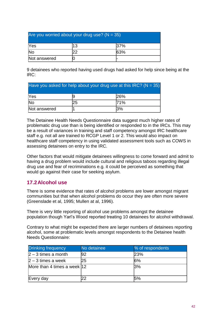| Are you worried about your drug use? ( $N = 35$ ) |  |     |  |  |
|---------------------------------------------------|--|-----|--|--|
| Yes<br>13<br>137%                                 |  |     |  |  |
| <b>No</b>                                         |  | 63% |  |  |
| Not answered                                      |  |     |  |  |

9 detainees who reported having used drugs had asked for help since being at the IRC:

| Have you asked for help about your drug use at this IRC? ( $N = 35$ ) |    |           |  |
|-----------------------------------------------------------------------|----|-----------|--|
| Yes                                                                   |    | 26%       |  |
| <b>No</b>                                                             | 25 | 71%       |  |
| Not answered                                                          |    | <b>3%</b> |  |

The Detainee Health Needs Questionnaire data suggest much higher rates of problematic drug use than is being identified or responded to in the IRCs. This may be a result of variances in training and staff competency amongst IRC healthcare staff e.g. not all are trained to RCGP Level 1 or 2. This would also impact on healthcare staff competency in using validated assessment tools such as COWS in assessing detainees on entry to the IRC.

Other factors that would mitigate detainees willingness to come forward and admit to having a drug problem would include cultural and religious taboos regarding illegal drug use and fear of recriminations e.g. it could be perceived as something that would go against their case for seeking asylum.

# **17.2Alcohol use**

There is some evidence that rates of alcohol problems are lower amongst migrant communities but that when alcohol problems do occur they are often more severe (Greenslade et al, 1995; Mullen at al, 1996).

There is very little reporting of alcohol use problems amongst the detainee population though Yarl's Wood reported treating 10 detainees for alcohol withdrawal.

Contrary to what might be expected there are larger numbers of detainees reporting alcohol, some at problematic levels amongst respondents to the Detainee health Needs Questionnaire:

| Drinking frequency           | No detainee | % of respondents |
|------------------------------|-------------|------------------|
| $ 2 - 3$ times a month       | 192         | 23%              |
| $ 2 - 3$ times a week        | $25\,$      | 6%               |
| More than 4 times a week  12 |             | 3%               |
|                              |             |                  |
| Every day                    |             | 15%              |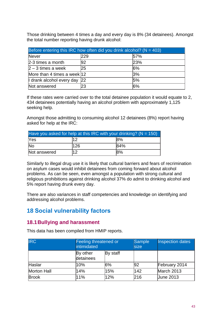Those drinking between 4 times a day and every day is 8% (34 detainees). Amongst the total number reporting having drunk alcohol:

| Before entering this IRC how often did you drink alcohol? ( $N = 403$ ) |     |     |  |  |  |
|-------------------------------------------------------------------------|-----|-----|--|--|--|
| Never                                                                   | 229 | 57% |  |  |  |
| $2-3$ times a month                                                     | 192 | 23% |  |  |  |
| $ 2 - 3$ times a week                                                   | 25  | 6%  |  |  |  |
| More than 4 times a week 12                                             |     | 3%  |  |  |  |
| 5%<br>I drank alcohol every day 22                                      |     |     |  |  |  |
| Not answered                                                            | 23  | 6%  |  |  |  |

If these rates were carried over to the total detainee population it would equate to 2, 434 detainees potentially having an alcohol problem with approximately 1,125 seeking help.

Amongst those admitting to consuming alcohol 12 detainees (8%) report having asked for help at the IRC:

| Have you asked for help at this IRC with your drinking? ( $N = 150$ ) |     |     |  |  |
|-----------------------------------------------------------------------|-----|-----|--|--|
| <b>Yes</b><br>12<br>8%                                                |     |     |  |  |
| <b>No</b>                                                             | 126 | 84% |  |  |
| Not answered                                                          | 12  | 8%  |  |  |

Similarly to illegal drug use it is likely that cultural barriers and fears of recrimination on asylum cases would inhibit detainees from coming forward about alcohol problems. As can be seen, even amongst a population with strong cultural and religious prohibitions against drinking alcohol 37% do admit to drinking alcohol and 5% report having drunk every day.

There are also variances in staff competencies and knowledge on identifying and addressing alcohol problems.

# **18 Social vulnerability factors**

# **18.1Bullying and harassment**

This data has been compiled from HMIP reports.

| <b>IRC</b>   | Feeling threatened or<br>intimidated |          | <b>Sample</b><br>size | <b>Inspection dates</b> |
|--------------|--------------------------------------|----------|-----------------------|-------------------------|
|              | By other<br>detainees                | By staff |                       |                         |
| Haslar       | 10%                                  | 6%       | 92                    | February 2014           |
| Morton Hall  | 14%                                  | 15%      | 142                   | March 2013              |
| <b>Brook</b> | 11%                                  | 12%      | 216                   | <b>June 2013</b>        |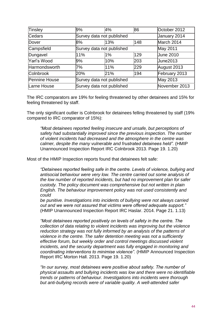| Tinsley              | 9%  | 4%                        | 86            | October 2012     |
|----------------------|-----|---------------------------|---------------|------------------|
| Cedars               |     | Survey data not published | January 2014  |                  |
| Dover                | 8%  | 13%                       | 148           | March 2014       |
| Campsfield           |     | Survey data not published |               | May 2011         |
| Dungavel             | 11% | $1\%$                     | 129           | <b>June 2010</b> |
| Yarl's Wood          | 9%  | 10%                       | 203           | <b>June2013</b>  |
| Harmondsworth        | 7%  | 11%                       | 229           | August 2013      |
| <b>Colnbrook</b>     | 20% | 21%                       | 194           | February 2013    |
| <b>Pennine House</b> |     | Survey data not published | May 2013      |                  |
| Larne House          |     | Survey data not published | November 2013 |                  |

The IRC comparators are 19% for feeling threatened by other detainees and 15% for feeling threatened by staff.

The only significant outlier is Colnbrook for detainees felling threatened by staff (19% compared to IRC comparator of 15%):

*"Most detainees reported feeling insecure and unsafe, but perceptions of safety had substantially improved since the previous inspection. The number of violent incidents had decreased and the atmosphere in the centre was calmer, despite the many vulnerable and frustrated detainees held".* (HMIP Unannounced Inspection Report IRC Colnbrook 2013. Page 19. 1.20)

Most of the HMIP Inspection reports found that detainees felt safe:

*"Detainees reported feeling safe in the centre. Levels of violence, bullying and antisocial behaviour were very low. The centre carried out some analysis of the low number of reported incidents, but had no improvement plan for safer custody. The policy document was comprehensive but not written in plain English. The behaviour improvement policy was not used consistently and could*

*be punitive. Investigations into incidents of bullying were not always carried out and we were not assured that victims were offered adequate support."* (HMIP Unannounced Inspection Report IRC Haslar. 2014. Page 21. 1.13)

*"Most detainees reported positively on levels of safety in the centre. The collection of data relating to violent incidents was improving but the violence reduction strategy was not fully informed by an analysis of the patterns of violence in the centre. The safer detention meeting was not a sufficiently effective forum, but weekly order and control meetings discussed violent incidents, and the security department was fully engaged in monitoring and coordinating interventions to minimise violence".* (HMIP Announced Inspection Report IRC Morton Hall. 2013. Page 19. 1.20)

*"In our survey, most detainees were positive about safety. The number of physical assaults and bullying incidents was low and there were no identifiable trends or patterns of behaviour. Investigations into incidents were thorough but anti-bullying records were of variable quality. A well-attended safer*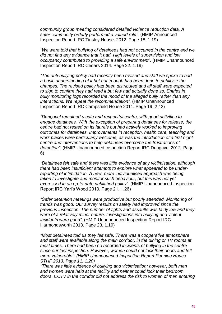*community group meeting considered detailed violence reduction data. A safer community orderly performed a valued role".* (HMIP Announced Inspection Report IRC Tinsley House. 2012. Page 18. 1.19)

*"We were told that bullying of detainees had not occurred in the centre and we did not find any evidence that it had. High levels of supervision and low occupancy contributed to providing a safe environment".* (HMIP Unannounced Inspection Report IRC Cedars 2014. Page 22. 1.19)

*"The anti-bullying policy had recently been revised and staff we spoke to had a basic understanding of it but not enough had been done to publicise the changes. The revised policy had been distributed and all staff were expected*  to sign to confirm they had read it but few had actually done so. Entries in *bully monitoring logs recorded the mood of the alleged bully rather than any interactions. We repeat the recommendation".* (HMIP Unannounced Inspection Report IRC Campsfield House 2011. Page 19. 2.42)

*"Dungavel remained a safe and respectful centre, with good activities to engage detainees. With the exception of preparing detainees for release, the centre had not rested on its laurels but had actively worked to improving outcomes for detainees. Improvements in reception, health care, teaching and work places were particularly welcome, as was the introduction of a first night centre and interventions to help detainees overcome the frustrations of detention".* (HMIP Unannounced Inspection Report IRC Dungavel 2012. Page 6)

*"Detainees felt safe and there was little evidence of any victimisation, although there had been insufficient attempts to explore what appeared to be underreporting of intimidation. A new, more individualised approach was being taken to investigate and monitor such behaviour, but this was not yet expressed in an up-to-date published policy".* (HMIP Unannounced Inspection Report IRC Yarl's Wood 2013. Page 21. 1.26)

*"Safer detention meetings were productive but poorly attended. Monitoring of trends was good. Our survey results on safety had improved since the previous inspection. The number of fights and assaults was fairly low and they were of a relatively minor nature. Investigations into bullying and violent incidents were good".* (HMIP Unannounced Inspection Report IRC Harmondsworth 2013. Page 23. 1.19)

*"Most detainees told us they felt safe. There was a cooperative atmosphere and staff were available along the main corridor, in the dining or TV rooms at most times. There had been no recorded incidents of bullying in the centre since our last inspection. However, women could not lock their doors and felt more vulnerable". (HMIP Unannounced Inspection Report Pennine House STHF 2013. Page 11. 1.20)*

*"There was little evidence of bullying and victimisation; however, both men and women were held at the facility and neither could lock their bedroom doors. CCTV in the corridor did not address the risk to women of men entering*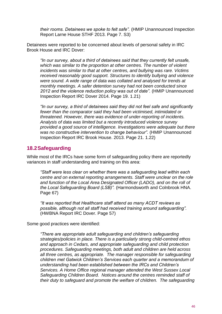*their rooms. Detainees we spoke to felt safe".* (HMIP Unannounced Inspection Report Larne House STHF 2013. Page 7. S3)

Detainees were reported to be concerned about levels of personal safety in IRC Brook House and IRC Dover:

*"In our survey, about a third of detainees said that they currently felt unsafe, which was similar to the proportion at other centres. The number of violent incidents was similar to that at other centres, and bullying was rare. Victims received reasonably good support. Structures to identify bullying and violence were sound. A wide range of data was collated and analysed for trends at monthly meetings. A safer detention survey had not been conducted since 2012 and the violence reduction policy was out of date".* (HMIP Unannounced Inspection Report IRC Dover 2014. Page 19. 1.21)

*"In our survey, a third of detainees said they did not feel safe and significantly fewer than the comparator said they had been victimised, intimidated or threatened. However, there was evidence of under-reporting of incidents. Analysis of data was limited but a recently introduced violence survey provided a good source of intelligence. Investigations were adequate but there was no constructive intervention to change behaviour".* (HMIP Unannounced Inspection Report IRC Brook House. 2013. Page 21. 1.22)

# **18.2Safeguarding**

While most of the IRCs have some form of safeguarding policy there are reportedly variances in staff understanding and training on this area:

*"Staff were less clear on whether there was a safeguarding lead within each centre and on external reporting arrangements. Staff were unclear on the role and function of the Local Area Designated Officer (LADO), and on the roll of the Local Safeguarding Board (LSB)".* (Harmondsworth and Colnbrook HNA. Page 67)

*"It was reported that Healthcare staff attend as many ACDT reviews as possible, although not all staff had received training around safeguarding".* (HWBNA Report IRC Dover. Page 57)

Some good practices were identified:

*"There are appropriate adult safeguarding and children's safeguarding strategies/policies in place. There is a particularly strong child-centred ethos and approach in Cedars, and appropriate safeguarding and child protection procedures. Safeguarding meetings, both adult and children are held across all three centres, as appropriate. The manager responsible for safeguarding children met Gatwick Children's Services each quarter and a memorandum of understanding had been established between the IRCs and Children's Services. A Home Office regional manager attended the West Sussex Local Safeguarding Children Board. Notices around the centres reminded staff of their duty to safeguard and promote the welfare of children. The safeguarding*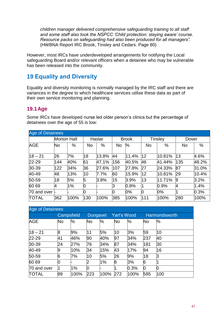*children manager delivered comprehensive safeguarding training to all staff and some staff also took the NSPCC 'Child protection: staying aware' course. Resource packs on safeguarding had also been produced for all managers".* (HWBNA Report IRC Brook, Tinsley and Cedars. Page 80)

However, most IRCs have underdeveloped arrangements for notifying the Local safeguarding Board and/or relevant officers when a detainee who may be vulnerable has been released into the community.

# **19 Equality and Diversity**

Equality and diversity monitoring is normally managed by the IRC staff and there are variances in the degree to which healthcare services utilise these data as part of their own service monitoring and planning.

# **19.1Age**

Some IRCs have developed nurse led older person's clinics but the percentage of detainees over the age of 55 is low:

| <b>Age of Detainees</b> |             |      |     |         |     |              |              |                |              |       |
|-------------------------|-------------|------|-----|---------|-----|--------------|--------------|----------------|--------------|-------|
|                         | Morton Hall |      |     | Haslar  |     | <b>Brook</b> |              | <b>Tinsley</b> | Dover        |       |
| <b>AGE</b>              | No          | %    | No  | $\%$    | No  | $\%$         | <b>No</b>    | %              | <b>No</b>    | %     |
| $18 - 21$               | 26          | 7%   | 18  | 13.8%   | 44  | 11.4%        | $ 12\rangle$ | 10.81%         | 13           | 4.6%  |
| $22 - 29$               | 144         | 40%  | 61  | 47.1%   | 156 | 40.5%        | 46           | 41.44%         | 135          | 48.2% |
| $ 30-39 $               | 122         | 34%  | 36  | 27.6%   | 107 | 27.8%        | 27           | 24.33%         | 87           | 31.0% |
| 40-49                   | 48          | 13%  | 10  | 7.7%    | 60  | 15.9%        | 12           | 10.81%         | 29           | 10.4% |
| $50 - 59$               | 18          | 5%   | 5   | $3.8\%$ | 15  | 3.9%         | 13           | 11.71%         | 19           | 3.2%  |
| 60 69                   | 4           | 1%   | 10  |         | IЗ  | 0.8%         |              | 0.9%           | <sup>1</sup> | 1.4%  |
| 70 and over l-          |             |      | 10  |         | Ю   | $0\%$        | 10           | $0\%$          |              | 0.3%  |
| <b>TOTAL</b>            | 362         | 100% | 130 | 100%    | 385 | 100%         | 111          | 100%           | 280          | 100%  |

| <b>Age of Detainees</b> |           |            |     |                 |     |                    |           |               |
|-------------------------|-----------|------------|-----|-----------------|-----|--------------------|-----------|---------------|
|                         |           | Campsfield |     | <b>Dungavel</b> |     | <b>Yarl's Wood</b> |           | Harmondsworth |
| <b>AGE</b>              | <b>No</b> | %          | No  | %               | No  | %                  | <b>No</b> | %             |
| $18 - 21$               | 8         | 9%         | 11  | 5%              | 10  | 3%                 | 59        | 10            |
| $22 - 29$               | 41        | 46%        | 90  | 40%             | 97  | 34%                | 237       | 40            |
| $ 30-39 $               | 24        | 27%        | 76  | 34%             | 87  | 34%                | 181       | 30            |
| 40-49                   | 9         | 10%        | 34  | 15%             | 43  | 17%                | 94        | 16            |
| 50-59                   | 6         | 7%         | 10  | 5%              | 26  | 9%                 | 18        | ß             |
| 60 69                   | Ю         |            | 2   | 1%              | 8   | 3%                 | 6         |               |
| 70 and over             |           | 1%         | Ю   |                 |     | 0.3%               | Ю         |               |
| <b>TOTAL</b>            | 89        | 100%       | 223 | 100%            | 272 | 100%               | 595       | 100           |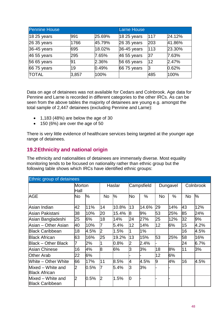| <b>Pennine House</b> |       | <b>Larne House</b> |              |     |        |
|----------------------|-------|--------------------|--------------|-----|--------|
| 18 25 years          | 991   | 25.69%             | $1825$ years | 117 | 24.12% |
| 26 35 years          | 1766  | 45.79%             | 26 35 years  | 203 | 41.86% |
| 36-45 years          | 695   | 18.02%             | 36-45 years  | 113 | 23.30% |
| 46 55 years          | 295   | 7.65%              | 46 55 years  | 37  | 7.63%  |
| 56 65 years          | 91    | 2.36%              | 56 65 years  | 12  | 2.47%  |
| 66 75 years          | 19    | 0.49%              | 66 75 years  |     | 0.62%  |
| <b>TOTAL</b>         | 3,857 | 100%               |              | 485 | 100%   |

Data on age of detainees was not available for Cedars and Colnbrook. Age data for Pennine and Larne is recorded in different categories to the other IRCs. As can be seen from the above tables the majority of detainees are young e.g. amongst the total sample of 2,447 detainees (excluding Pennine and Larne):

- $\bullet$  1,183 (48%) are below the age of 30
- 150 (6%) are over the age of 50

There is very little evidence of healthcare services being targeted at the younger age range of detainees.

# **19.2Ethnicity and national origin**

The ethnicity and nationalities of detainees are immensely diverse. Most equality monitoring tends to be focused on nationality rather than ethnic group but the following table shows which IRCs have identified ethnic groups:

| Ethnic group of detainees                   |                |      |    |         |    |            |           |          |           |               |
|---------------------------------------------|----------------|------|----|---------|----|------------|-----------|----------|-----------|---------------|
|                                             | Morton<br>Hall |      |    | Haslar  |    | Campsfield |           | Dungavel |           | Colnbrook     |
| <b>AGE</b>                                  | No.            | %    | No | %       | No | $\%$       | <b>No</b> | %        | <b>No</b> | $\frac{1}{2}$ |
| Asian Indian                                | 42             | 11%  | 14 | 10.8%   | 13 | 14.6%      | 29        | 14%      | 43        | 12%           |
| Asian Pakistani                             | 38             | 10%  | 20 | 15.4%   | 18 | 9%         | 53        | 25%      | 85        | 24%           |
| Asian Bangladeshi                           | 25             | 6%   | 18 | 14%     | 24 | 27%        | 25        | 12%      | 32        | 9%            |
| Asian – Other Asian                         | 40             | 10%  |    | 5.4%    | 12 | 14%        | 12        | 6%       | 15        | 4.2%          |
| <b>Black Caribbean</b>                      | 18             | 4.5% | 2  | 1.5%    |    | 1%         |           |          | 16        | 4.5%          |
| <b>Black African</b>                        | 63             | 16%  | 25 | 19.2%   | 13 | 15%        | 53        | 25%      | 58        | 16%           |
| Black – Other Black                         |                | 2%   |    | $0.8\%$ | 2  | 2.4%       |           |          | 24        | 6.7%          |
| Asian Chinese                               | 16             | 4%   | 8  | 6%      | lЗ | 3%         | 18        | 8%       | 11        | 3%            |
| <b>Other Arab</b>                           | 22             | 6%   |    |         |    |            | 12        | 6%       |           |               |
| <b>White – Other White</b>                  | 66             | 17%  | 11 | 8.5%    | 4  | 4.5%       | 9         | 4%       | 16        | 4.5%          |
| Mixed – White and<br><b>Black African</b>   | 2              | 0.5% |    | 5.4%    | lЗ | 3%         |           |          |           |               |
| Mixed - White and<br><b>Black Caribbean</b> | 2              | 0.5% | 2  | 1.5%    | lo |            |           |          |           |               |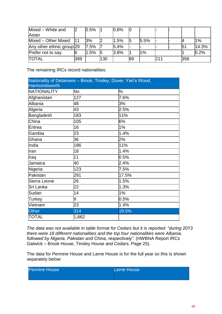| Mixed - White and<br>Asian |      | 0.5% |     | 0.8% |    |       |  |     |       |
|----------------------------|------|------|-----|------|----|-------|--|-----|-------|
| Mixed - Other Mixed        |      | 3%   |     | 1.5% | 15 | 5.5%  |  |     | $1\%$ |
| Any other ethnic group 29  |      | 7.5% |     | 5.4% |    |       |  | 5٬  | 14.3% |
| Prefer not to say          |      | .5%  | 15  | 3.8% |    | $1\%$ |  |     | 0.2%  |
| <b>TOTAL</b>               | '389 |      | 130 |      | 89 |       |  | 356 |       |

The remaining IRCs record nationalities:

| Nationality of Detainees - Brook, Tinsley, Dover, Yarl's Wood, |       |       |
|----------------------------------------------------------------|-------|-------|
| <b>Harmondsworth</b>                                           |       |       |
| NATIONALITY                                                    | No.   | %     |
| Afghanistan                                                    | 127   | 7.6%  |
| Albania                                                        | 48    | 3%    |
| Algeria                                                        | 43    | 2.5%  |
| <b>Bangladesh</b>                                              | 183   | 11%   |
| China                                                          | 105   | 6%    |
| Eritrea                                                        | 16    | 1%    |
| Gambia                                                         | 23    | 1.4%  |
| Ghana                                                          | 36    | 2%    |
| India                                                          | 186   | 11%   |
| Iran                                                           | 18    | 1.4%  |
| Iraq                                                           | 11    | 0.5%  |
| Jamaica                                                        | 40    | 2.4%  |
| Nigeria                                                        | 123   | 7.5%  |
| Pakistan                                                       | 291   | 17.5% |
| Sierra Leone                                                   | 26    | 1.5%  |
| Sri Lanka                                                      | 22    | 1.3%  |
| Sudan                                                          | 14    | 1%    |
| Turkey                                                         | 9     | 0.5%  |
| Vietnam                                                        | 23    | 1.4%  |
| Other                                                          | 314   | 19.5% |
| <b>TOTAL</b>                                                   | 1,662 |       |

*The data was not available in table format for Cedars but it is reported: "during 2013 there were 18 different nationalities and the top four nationalities were Albania, followed by Nigeria, Pakistan and China, respectively".* (HWBNA Report IRCs Gatwick – Brook House, Tinsley House and Cedars. Page 25).

The data for Pennine House and Larne House is for the full year so this is shown separately below:

| <b>Pennine House</b> | Larne House |
|----------------------|-------------|
|                      |             |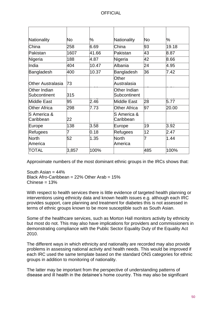| Nationality                     | No    | %     | Nationality                  | <b>No</b>         | %     |
|---------------------------------|-------|-------|------------------------------|-------------------|-------|
| China                           | 258   | 6.69  | China                        | 93                | 19.18 |
| Pakistan                        | 1607  | 41.66 | Pakistan                     | 43                | 8.87  |
| Nigeria                         | 188   | 4.87  | Nigeria                      | 42                | 8.66  |
| India                           | 404   | 10.47 | Albania                      | 24                | 4.95  |
| Bangladesh                      | 400   | 10.37 | Bangladesh                   | 36                | 7.42  |
| <b>Other Australasia</b>        | 73    |       | Other<br>Australasia         |                   |       |
| Other Indian<br>Subcontinent    | 315   |       | Other Indian<br>Subcontinent |                   |       |
| Middle East                     | 95    | 2.46  | Middle East                  | 28                | 5.77  |
| <b>Other Africa</b>             | 298   | 7.73  | <b>Other Africa</b>          | 97                | 20.00 |
| <b>S</b> America &<br>Caribbean | 22    |       | S America &<br>Caribbean     |                   |       |
| Europe                          | 138   | 3.58  | Europe                       | 19                | 3.92  |
| Refugees                        | 7     | 0.18  | Refugees                     | $12 \overline{ }$ | 2.47  |
| North<br>America                | 52    | 1.35  | North<br>America             | 7                 | 1.44  |
| TOTAL                           | 3,857 | 100%  |                              | 485               | 100%  |

Approximate numbers of the most dominant ethnic groups in the IRCs shows that:

South Asian  $= 44\%$ Black Afro-Caribbean = 22% Other Arab = 15%  $Chinese = 13%$ 

With respect to health services there is little evidence of targeted health planning or interventions using ethnicity data and known health issues e.g. although each IRC provides support, care planning and treatment for diabetes this is not assessed in terms of ethnic groups known to be more susceptible such as South Asian.

Some of the healthcare services, such as Morton Hall monitors activity by ethnicity but most do not. This may also have implications for providers and commissioners in demonstrating compliance with the Public Sector Equality Duty of the Equality Act 2010.

The different ways in which ethnicity and nationality are recorded may also provide problems in assessing national activity and health needs. This would be improved if each IRC used the same template based on the standard ONS categories for ethnic groups in addition to monitoring of nationality.

The latter may be important from the perspective of understanding patterns of disease and ill health in the detainee's home country. This may also be significant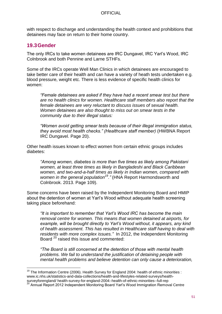with respect to discharge and understanding the health context and prohibitions that detainees may face on return to their home country.

# **19.3Gender**

The only IRCs to take women detainees are IRC Dungavel, IRC Yarl's Wood, IRC Colnbrook and both Pennine and Larne STHFs.

Some of the IRCs operate Well Man Clinics in which detainees are encouraged to take better care of their health and can have a variety of heath tests undertaken e.g. blood pressure, weight etc. There is less evidence of specific health clinics for women:

*"Female detainees are asked if they have had a recent smear test but there are no health clinics for women. Healthcare staff members also report that the female detainees are very reluctant to discuss issues of sexual health. Women detainees are also thought to miss out on smear tests in the community due to their illegal status:*

*"Women avoid getting smear tests because of their illegal immigration status, they avoid most health checks." (Healthcare staff member)* (HWBNA Report IRC Dungavel. Page 20).

Other health issues known to effect women from certain ethnic groups includes diabetes:

*"Among women, diabetes is more than five times as likely among Pakistani women, at least three times as likely in Bangladeshi and Black Caribbean women, and two-and-a-half times as likely in Indian women, compared with women in the general population<sup>19</sup>."* (HNA Report Harmondsworth and Colnbrook. 2013. Page 109).

Some concerns have been raised by the Independent Monitoring Board and HMIP about the detention of women at Yarl's Wood without adequate health screening taking place beforehand:

*"It is important to remember that Yarl's Wood IRC has become the main removal centre for women. This means that women detained at airports, for example, will be brought directly to Yarl's Wood without, it appears, any kind of health assessment. This has resulted in Healthcare staff having to deal with residents with more complex issues."* In 2012, the Independent Monitoring Board <sup>20</sup> raised this issue and commented:

*"The Board is still concerned at the detention of those with mental health problems. We fail to understand the justification of detaining people with mental health problems and believe detention can only cause a deterioration,* 

<sup>&</sup>lt;u>.</u>  $19$  The Information Centre (2006). Health Survey for England 2004: health of ethnic minorities : www.ic.nhs.uk/statistics-and-data-collections/health-and-lifestyles-related-surveys/healthsurveyforengland/ health-survey-for-england-2004:-health-of-ethnic-minorities--full-rep

<sup>20</sup> Annual Report 2012 Independent Monitoring Board Yarl's Wood Immigration Removal Centre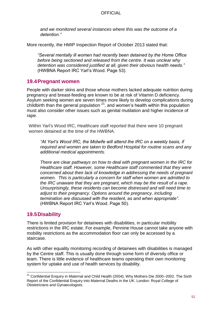*and we monitored several instances where this was the outcome of a detention."*

More recently, the HMIP Inspection Report of October 2013 stated that:

*"Several mentally ill women had recently been detained by the Home Office before being sectioned and released from the centre. It was unclear why detention was considered justified at all, given their obvious health needs."* (HWBNA Report IRC Yarl's Wood. Page 53).

### **19.4Pregnant women**

People with darker skins and those whose mothers lacked adequate nutrition during pregnancy and breast-feeding are known to be at risk of Vitamin D deficiency. Asylum seeking women are seven times more likely to develop complications during childbirth than the general population  $21$ , and women's health within this population must also consider other issues such as genital mutilation and higher incidence of rape.

Within Yarl's Wood IRC, Healthcare staff reported that there were 10 pregnant women detained at the time of the HWBNA.

*"At Yarl's Wood IRC, the Midwife will attend the IRC on a weekly basis, if required and women are taken to Bedford Hospital for routine scans and any additional medical appointments.*

*There are clear pathways on how to deal with pregnant women in the IRC for Healthcare staff. However, some Healthcare staff commented that they were concerned about their lack of knowledge in addressing the needs of pregnant women. This is particularly a concern for staff when women are admitted to the IRC unaware that they are pregnant, which may be the result of a rape. Unsurprisingly, these residents can become distressed and will need time to adjust to their pregnancy. Options around the pregnancy, including termination are discussed with the resident, as and when appropriate".* (HWBNA Report IRC Yarl's Wood. Page 50).

# **19.5Disability**

There is limited provision for detainees with disabilities, in particular mobility restrictions in the IRC estate. For example, Pennine House cannot take anyone with mobility restrictions as the accommodation floor can only be accessed by a staircase.

As with other equality monitoring recording of detainees with disabilities is managed by the Centre staff. This is usually done through some form of diversity office or team. There is little evidence of healthcare teams operating their own monitoring system for uptake and use of health services by disability.

 $\overline{a}$  $21$  Confidential Enquiry in Maternal and Child Health (2004). Why Mothers Die 2000–2002. The Sixth Report of the Confidential Enquiry into Maternal Deaths in the UK. London: Royal College of Obstetricians and Gynaecologists.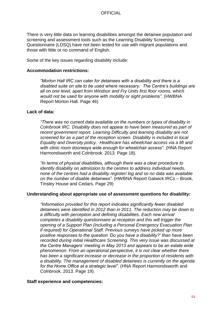There is very little data on learning disabilities amongst the detainee population and screening and assessment tools such as the Learning Disability Screening Questionnaire (LDSQ) have not been tested for use with migrant populations and those with little or no command of English.

Some of the key issues regarding disability include:

#### **Accommodation restrictions:**

*"Morton Hall IRC can cater for detainees with a disability and there is a disabled suite on site to be used where necessary. The Centre's buildings are all on one level, apart from Windsor and Fry Units first floor rooms, which would not be used for anyone with mobility or sight problems".* (HWBNA Report Morton Hall. Page 46)

#### **Lack of data:**

*"There was no current data available on the numbers or types of disability in Colnbrook IRC. Disability does not appear to have been measured as part of recent government report. Learning Difficulty and learning disability are not screened for as a part of the reception screen. Disability is included in local Equality and Diversity policy. Healthcare has wheelchair access via a lift and with clinic room doorways wide enough for wheelchair access".* (HNA Report Harmondsworth and Colnbrook. 2013. Page 18).

*"In terms of physical disabilities, although there was a clear procedure to identify disability on admission to the centres to address individual needs, none of the centres had a disability register/ log and so no data was available on the number of disable detainees".* (HWBNA Report Gatwick IRCs – Brook, Tinsley House and Cedars. Page 29)

#### **Understanding about appropriate use of assessment questions for disability:**

*"Information provided for this report indicates significantly fewer disabled detainees were identified in 2012 than in 2011. The reduction may be down to a difficulty with perception and defining disabilities. Each new arrival completes a disability questionnaire at reception and this will trigger the opening of a Support Plan (including a Personal Emergency Evacuation Plan if required) for Operational Staff. Previous surveys have picked up more positive responses to the question 'Do you have a disability?' than have been recorded during initial Healthcare Screening. This very issue was discussed at the Centre Managers' meeting in May 2013 and appears to be an estate wide phenomenon. From an operational perspective, it is not clear whether there has been a significant increase or decrease in the proportion of residents with a disability. The management of disabled detainees is currently on the agenda for the Home Office at a strategic level".* (HNA Report Harmondsworth and Colnbrook. 2013. Page 19).

#### **Staff experience and competencies:**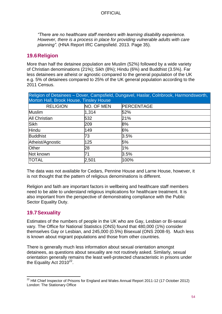*"There are no healthcare staff members with learning disability experience. However, there is a process in place for providing vulnerable adults with care planning".* (HNA Report IRC Campsfield. 2013. Page 35).

# **19.6Religion**

More than half the detainee population are Muslim (52%) followed by a wide variety of Christian denominations (21%); Sikh (8%); Hindu (6%) and Buddhist (3.5%). Far less detainees are atheist or agnostic compared to the general population of the UK e.g. 5% of detainees compared to 25% of the UK general population according to the 2011 Census.

| Religion of Detainees - Dover, Campsfield, Dungavel, Haslar, Colnbrook, Harmondsworth,<br>Morton Hall, Brook House, Tinsley House |            |                   |  |  |  |  |
|-----------------------------------------------------------------------------------------------------------------------------------|------------|-------------------|--|--|--|--|
| <b>RELIGION</b>                                                                                                                   | NO. OF MEN | <b>PERCENTAGE</b> |  |  |  |  |
| Muslim                                                                                                                            | 1,314      | 52%               |  |  |  |  |
| All Christian                                                                                                                     | 532        | 21%               |  |  |  |  |
| <b>Sikh</b>                                                                                                                       | 209        | 8%                |  |  |  |  |
| Hindu                                                                                                                             | 149        | 6%                |  |  |  |  |
| <b>Buddhist</b>                                                                                                                   | 73         | 3.5%              |  |  |  |  |
| Atheist/Agnostic                                                                                                                  | 125        | 5%                |  |  |  |  |
| Other                                                                                                                             | 28         | 1%                |  |  |  |  |
| Not known                                                                                                                         | 71         | $3.5\%$           |  |  |  |  |
| <b>TOTAL</b>                                                                                                                      | 2,501      | 100%              |  |  |  |  |

The data was not available for Cedars, Pennine House and Larne House, however, it is not thought that the pattern of religious denominations is different.

Religion and faith are important factors in wellbeing and healthcare staff members need to be able to understand religious implications for healthcare treatment. It is also important from the perspective of demonstrating compliance with the Public Sector Equality Duty.

# **19.7Sexuality**

Estimates of the numbers of people in the UK who are Gay, Lesbian or Bi-sexual vary. The Office for National Statistics (ONS) found that 480,000 (1%) consider themselves Gay or Lesbian, and 245,000 (0.5%) Bisexual (ONS 2008-9). Much less is known about migrant populations and those from other countries.

There is generally much less information about sexual orientation amongst detainees, as questions about sexuality are not routinely asked. Similarly, sexual orientation generally remains the least well-protected characteristic in prisons under the Equality Act  $2010^{22}$ .

<sup>1</sup>  $22$  HM Chief Inspector of Prisons for England and Wales Annual Report 2011-12 (17 October 2012) London: The Stationary Office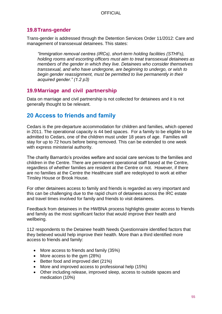# **19.8Trans-gender**

Trans-gender is addressed through the Detention Services Order 11/2012: Care and management of transsexual detainees. This states:

*"Immigration removal centres (IRCs), short-term holding facilities (STHFs), holding rooms and escorting officers must aim to treat transsexual detainees as members of the gender in which they live. Detainees who consider themselves transsexual, and who have undergone, are beginning to undergo, or wish to begin gender reassignment, must be permitted to live permanently in their acquired gender." (1.2 p3)*

# **19.9Marriage and civil partnership**

Data on marriage and civil partnership is not collected for detainees and it is not generally thought to be relevant.

# **20 Access to friends and family**

Cedars is the pre-departure accommodation for children and families, which opened in 2011. The operational capacity is 44 bed spaces. For a family to be eligible to be admitted to Cedars, one of the children must under 18 years of age. Families will stay for up to 72 hours before being removed. This can be extended to one week with express ministerial authority.

The charity Barnardo's provides welfare and social care services to the families and children in the Centre. There are permanent operational staff based at the Centre, regardless of whether families are resident at the Centre or not. However, if there are no families at the Centre the Healthcare staff are redeployed to work at either Tinsley House or Brook House.

For other detainees access to family and friends is regarded as very important and this can be challenging due to the rapid churn of detainees across the IRC estate and travel times involved for family and friends to visit detainees.

Feedback from detainees in the HWBNA process highlights greater access to friends and family as the most significant factor that would improve their health and wellbeing.

112 respondents to the Detainee health Needs Questionnaire identified factors that they believed would help improve their health. More than a third identified more access to friends and family:

- More access to friends and family (35%)
- More access to the gym (28%)
- Better food and improved diet (21%)
- More and improved access to professional help (15%)
- Other including release, improved sleep, access to outside spaces and medication (10%)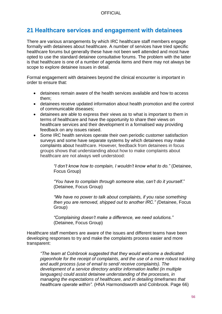# **21 Healthcare services and engagement with detainees**

There are various arrangements by which IRC healthcare staff members engage formally with detainees about healthcare. A number of services have tried specific healthcare forums but generally these have not been well attended and most have opted to use the standard detainee consultative forums. The problem with the latter is that healthcare is one of a number of agenda items and there may not always be scope to explore detainee issues in detail.

Formal engagement with detainees beyond the clinical encounter is important in order to ensure that:

- detainees remain aware of the health services available and how to access them;
- detainees receive updated information about health promotion and the control of communicable diseases;
- detainees are able to express their views as to what is important to them in terms of healthcare and have the opportunity to share their views on healthcare services and their development in a formalised way providing feedback on any issues raised.
- Some IRC health services operate their own periodic customer satisfaction surveys and some have separate systems by which detainees may make complaints about healthcare. However, feedback from detainees in focus groups shows that understanding about how to make complaints about healthcare are not always well understood:

*"I don't know how to complain, I wouldn't know what to do."* (Detainee, Focus Group)

*"You have to complain through someone else, can't do it yourself*." (Detainee, Focus Group)

*"We have no power to talk about complaints, if you raise something then you are removed, shipped out to another IRC." (*Detainee, Focus Group)

*"Complaining doesn't make a difference, we need solutions."* (Detainee, Focus Group)

Healthcare staff members are aware of the issues and different teams have been developing responses to try and make the complaints process easier and more transparent:

*"The team at Colnbrook suggested that they would welcome a dedicated pigeonhole for the receipt of complaints, and the use of a more robust tracking and audit process (use of email to send/ receive complaints). The development of a service directory and/or information leaflet (in multiple languages) could assist detainee understanding of the processes, in managing the expectations of healthcare, and in detailing timeframes that healthcare operate within".* (HNA Harmondsworth and Colnbrook. Page 66)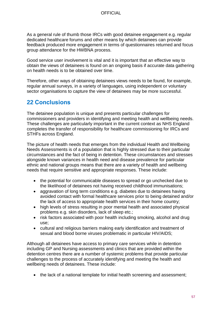As a general rule of thumb those IRCs with good detainee engagement e.g. regular dedicated healthcare forums and other means by which detainees can provide feedback produced more engagement in terms of questionnaires returned and focus group attendance for the HWBNA process.

Good service user involvement is vital and it is important that an effective way to obtain the views of detainees is found on an ongoing basis if accurate data gathering on health needs is to be obtained over time.

Therefore, other ways of obtaining detainees views needs to be found, for example, regular annual surveys, in a variety of languages, using independent or voluntary sector organisations to capture the view of detainees may be more successful.

# **22 Conclusions**

The detainee population is unique and presents particular challenges for commissioners and providers in identifying and meeting health and wellbeing needs. These challenges are particularly important in the current context as NHS England completes the transfer of responsibility for healthcare commissioning for IRCs and STHFs across England.

The picture of health needs that emerges from the individual Health and Wellbeing Needs Assessments is of a population that is highly stressed due to their particular circumstances and the fact of being in detention. These circumstances and stresses alongside known variances in health need and disease prevalence for particular ethnic and national groups means that there are a variety of health and wellbeing needs that require sensitive and appropriate responses. These include:

- the potential for communicable diseases to spread or go unchecked due to the likelihood of detainees not having received childhood immunisations;
- aggravation of long term conditions e.g. diabetes due to detainees having avoided contact with formal healthcare services prior to being detained and/or the lack of access to appropriate health services in their home country;
- high levels of stress resulting in poor mental health and associated physical problems e.g. skin disorders, lack of sleep etc.;
- risk factors associated with poor health including smoking, alcohol and drug use;
- cultural and religious barriers making early identification and treatment of sexual and blood borne viruses problematic in particular HIV/AIDS;

Although all detainees have access to primary care services while in detention including GP and Nursing assessments and clinics that are provided within the detention centres there are a number of systemic problems that provide particular challenges to the process of accurately identifying and meeting the health and wellbeing needs of detainees. These include:

• the lack of a national template for initial health screening and assessment;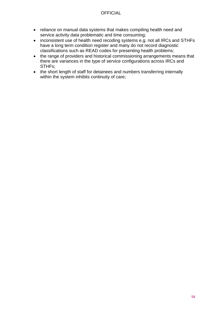- reliance on manual data systems that makes compiling health need and service activity data problematic and time consuming;
- inconsistent use of health need recoding systems e.g. not all IRCs and STHFs have a long term condition register and many do not record diagnostic classifications such as READ codes for presenting health problems;
- the range of providers and historical commissioning arrangements means that there are variances in the type of service configurations across IRCs and STHFs;
- the short length of staff for detainees and numbers transferring internally within the system inhibits continuity of care;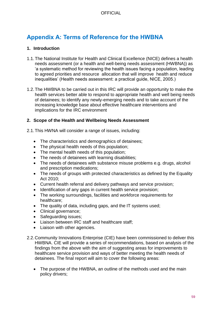# **Appendix A: Terms of Reference for the HWBNA**

#### **1. Introduction**

- 1.1.The National Institute for Health and Clinical Excellence (NICE) defines a health needs assessment (or a health and well-being needs assessment (HWBNA)) as 'a systematic method for reviewing the health issues facing a population, leading to agreed priorities and resource allocation that will improve health and reduce inequalities' (Health needs assessment: a practical guide, NICE, 2005.)
- 1.2.The HWBNA to be carried out in this IRC will provide an opportunity to make the health services better able to respond to appropriate health and well being needs of detainees; to identify any newly-emerging needs and to take account of the increasing knowledge base about effective healthcare interventions and implications for the IRC environment

#### **2. Scope of the Health and Wellbeing Needs Assessment**

- 2.1.This HWNA will consider a range of issues, including:
	- The characteristics and demographics of detainees;
	- The physical health needs of this population;
	- The mental health needs of this population;
	- The needs of detainees with learning disabilities:
	- The needs of detainees with substance misuse problems e.g. drugs, alcohol and prescription medications;
	- The needs of groups with protected characteristics as defined by the Equality Act 2010;
	- Current health referral and delivery pathways and service provision;
	- Identification of any gaps in current health service provision;
	- The working surroundings, facilities and workforce requirements for healthcare;
	- The quality of data, including gaps, and the IT systems used;
	- Clinical governance;
	- Safeguarding issues;
	- Liaison between IRC staff and healthcare staff;
	- Liaison with other agencies.
- 2.2.Community Innovations Enterprise (CIE) have been commissioned to deliver this HWBNA. CIE will provide a series of recommendations, based on analysis of the findings from the above with the aim of suggesting areas for improvements to healthcare service provision and ways of better meeting the health needs of detainees. The final report will aim to cover the following areas:
	- The purpose of the HWBNA, an outline of the methods used and the main policy drivers;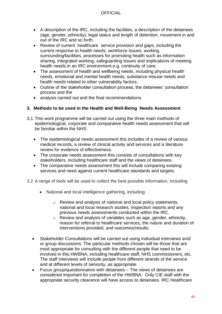- A description of the IRC, including the facilities, a description of the detainees (age, gender, ethnicity), legal status and length of detention, movement in and out of the IRC and so forth.
- Review of current healthcare service provision and gaps, including the current response to health needs, workforce issues, working surrounding/facilities, processes for promoting health such as information sharing, integrated working, safeguarding issues and implications of meeting health needs in an IRC environment e.g. continuity of care;
- The assessment of health and wellbeing needs, including physical health needs, emotional and mental health needs, substance misuse needs and health needs related to other vulnerability factors;
- Outline of the stakeholder consultation process, the detainees' consultation process and the
- analysis carried out and the final recommendations.

#### **3. Methods to be used in the Health and Well-Being Needs Assessment**

- 3.1.This work programme will be carried out using the three main methods of epidemiological, corporate and comparative health needs assessment that will be familiar within the NHS:
	- The epidemiological needs assessment this includes of a review of various medical records, a review of clinical activity and services and a literature review for evidence of effectiveness.
	- The corporate needs assessment this consists of consultations with key stakeholders, including healthcare staff and the views of detainees.
	- The comparative needs assessment this will include comparing existing services and need against current healthcare standards and targets.
- 3.2 A range of tools will be used to collect the best possible information, including
	- National and local intelligence gathering, including:
		- o Review and analysis of national and local policy statements, national and local research studies, inspection reports and any previous needs assessments conducted within the IRC.
		- o Review and analysis of variables such as age, gender, ethnicity, reason for referral to healthcare services, the nature and duration of interventions provided, and outcomes/results.
	- Stakeholder Consultations will be carried out using individual interviews and/ or group discussions. The particular methods chosen will be those that are most appropriate for consulting with the different people that need to be involved in this HWBNA, including healthcare staff, NHS commissioners, etc. The staff interviews will include people from different strands of the service and at different levels of seniority, as appropriate.
	- Focus group/questionnaires with detainees The views of detainees are considered important for completion of the HWBNA. Only CIE staff with the appropriate security clearance will have access to detainees. IRC Healthcare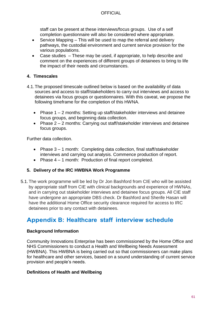staff can be present at these interviews/focus groups. Use of a self completion questionnaire will also be considered where appropriate.

- Service Mapping This will be used to map the referral and delivery pathways, the custodial environment and current service provision for the various populations.
- Case studies These may be used, if appropriate, to help describe and comment on the experiences of different groups of detainees to bring to life the impact of their needs and circumstances.

### **4. Timescales**

- 4.1.The proposed timescale outlined below is based on the availability of data sources and access to staff/stakeholders to carry out interviews and access to detainees via focus groups or questionnaires. With this caveat, we propose the following timeframe for the completion of this HWNA.
	- Phase 1 2 months: Setting up staff/stakeholder interviews and detainee focus groups, and beginning data collection.
	- Phase 2 2 months: Carrying out staff/stakeholder interviews and detainee focus groups.

Further data collection.

- Phase 3 1 month: Completing data collection, final staff/stakeholder interviews and carrying out analysis. Commence production of report.
- Phase  $4 1$  month: Production of final report completed.

# **5. Delivery of the IRC HWBNA Work Programme**

5.1.The work programme will be led by Dr Jon Bashford from CIE who will be assisted by appropriate staff from CIE with clinical backgrounds and experience of HWNAs, and in carrying out stakeholder interviews and detainee focus groups. All CIE staff have undergone an appropriate DBS check. Dr Bashford and Sherife Hasan will have the additional Home Office security clearance required for access to IRC detainees prior to any contact with detainees.

# **Appendix B: Healthcare staff interview schedule**

#### **Background Information**

Community Innovations Enterprise has been commissioned by the Home Office and NHS Commissioners to conduct a Health and Wellbeing Needs Assessment (HWBNA). This HWBNA is being carried out so that commissioners can make plans for healthcare and other services, based on a sound understanding of current service provision and people's needs.

#### **Definitions of Health and Wellbeing**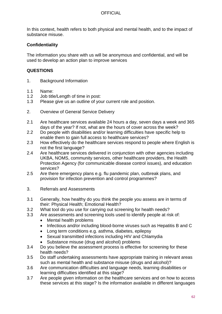In this context, health refers to both physical and mental health, and to the impact of substance misuse.

### **Confidentiality**

The information you share with us will be anonymous and confidential, and will be used to develop an action plan to improve services

#### **QUESTIONS**

- 1. Background Information
- 1.1 Name:<br>1.2 Job title
- Job title/Length of time in post:
- 1.3 Please give us an outline of your current role and position.
- 2. Overview of General Service Delivery
- 2.1 Are healthcare services available 24 hours a day, seven days a week and 365 days of the year? If not, what are the hours of cover across the week?
- 2.2 Do people with disabilities and/or learning difficulties have specific help to enable them to gain full access to healthcare services?
- 2.3 How effectively do the healthcare services respond to people where English is not the first language?
- 2.4 Are healthcare services delivered in conjunction with other agencies including UKBA, NOMS, community services, other healthcare providers, the Health Protection Agency (for communicable disease control issues), and education services?
- 2.5 Are there emergency plans e.g. flu pandemic plan, outbreak plans, and provision for infection prevention and control programmes?
- 3. Referrals and Assessments
- 3.1 Generally, how healthy do you think the people you assess are in terms of their: Physical Health; Emotional Health?
- 3.2 What tool do you use for carrying out screening for health needs?
- 3.3 Are assessments and screening tools used to identify people at risk of:
	- Mental health problems
	- Infectious and/or including blood-borne viruses such as Hepatitis B and C
	- Long term conditions e.g. asthma, diabetes, epilepsy
	- Sexual transmitted infections including HIV and Chlamydia
	- Substance misuse (drug and alcohol) problems
- 3.4 Do you believe the assessment process is effective for screening for these health needs?
- 3.5 Do staff undertaking assessments have appropriate training in relevant areas such as mental health and substance misuse (drugs and alcohol)?
- 3.6 Are communication difficulties and language needs, learning disabilities or learning difficulties identified at this stage?
- 3.7 Are people given information on the healthcare services and on how to access these services at this stage? Is the information available in different languages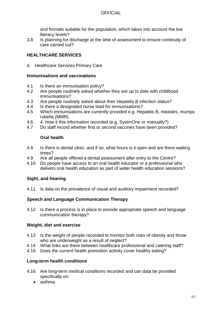and formats suitable for the population, which takes into account the low literacy levels?

3.8 Is planning for discharge at the time of assessment to ensure continuity of care carried out?

# **HEALTHCARE SERVICES**

4. Healthcare Services Primary Care

#### **Immunisations and vaccinations**

- 4.1 Is there an immunisation policy?
- 4.2 Are people routinely asked whether they are up to date with childhood immunisations?
- 4.3 Are people routinely asked about their Hepatitis B infection status?
- 4.4 Is there a designated nurse lead for immunisations?
- 4.5 Which immunisations are currently provided e.g. Hepatitis B, measles, mumps rubella (MMR).
- 4.6 4. How it this information recorded (e.g. SystmOne or manually?)
- 4.7 Do staff record whether first or second vaccines have been provided?

#### **Oral health**

- 4.8 Is there is dental clinic, and if so, what hours is it open and are there waiting times?
- 4.9 Are all people offered a dental assessment after entry to the Centre?
- 4.10 Do people have access to an oral health educator or a professional who delivers oral health education as part of wider health education sessions?

#### **Sight, and hearing**

4.11 Is data on the prevalence of visual and auditory impairment recorded?

#### **Speech and Language Communication Therapy**

4.12 Is there a process is in place to provide appropriate speech and language communication therapy?

#### **Weight, diet and exercise**

- 4.13 Is the weight of people recorded to monitor both risks of obesity and those who are underweight as a result of neglect?
- 4.14 What links are there between healthcare professional and catering staff?
- 4.15 Does the current health promotion activity cover healthy eating?

#### **Long-term health conditions**

- 4.16 Are long-term medical conditions recorded and can data be provided specifically on:
	- asthma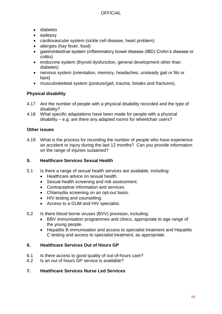- diabetes
- $\bullet$  epilepsy
- cardiovascular system (sickle cell disease, heart problem)
- allergies (hay fever, food)
- gastrointestinal system (inflammatory bowel disease (IBD) Crohn's disease or colitis)
- endocrine system (thyroid dysfunction, general development other than diabetes)
- nervous system (orientation, memory, headaches, unsteady gait or fits or faint)
- musculoskeletal system (posture/gait, trauma, breaks and fractures).

### **Physical disability**

- 4.17 Are the number of people with a physical disability recorded and the type of disability?
- 4.18 What specific adaptations have been made for people with a physical disability – e.g. are there any adapted rooms for wheelchair users?

### **Other issues**

4.19 What is the process for recording the number of people who have experience an accident or injury during the last 12 months? Can you provide information on the range of injuries sustained?

#### **5. Healthcare Services Sexual Health**

- 5.1 Is there a range of sexual health services are available, including:
	- Healthcare advice on sexual health.
	- Sexual health screening and risk assessment.
	- Contraceptive information and services.
	- Chlamydia screening on an opt-out basis.
	- HIV testing and counselling.
	- Access to a GUM and HIV specialist.
- 5.2 Is there blood borne viruses (BVV) provision, including:
	- BBV immunisation programmes and clinics, appropriate to age range of the young people.
	- Hepatitis B immunisation and access to specialist treatment and Hepatitis C testing and access to specialist treatment, as appropriate.

#### **6. Healthcare Services Out of Hours GP**

- 6.1 Is there access to good quality of out-of-hours care?
- 6.2 Is an out of hours GP service is available?

#### **7. Healthcare Services Nurse Led Services**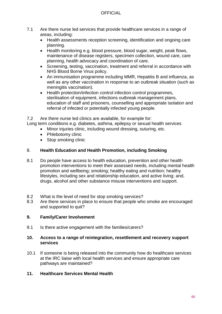- 7.1 Are there nurse led services that provide healthcare services in a range of areas, including:
	- Health assessments reception screening, identification and ongoing care planning.
	- Health monitoring e.g. blood pressure, blood sugar, weight, peak flows, maintenance of disease registers, specimen collection, wound care, care planning, health advocacy and coordination of care.
	- Screening, testing, vaccination, treatment and referral in accordance with NHS Blood Borne Virus policy.
	- An immunisation programme including MMR, Hepatitis B and influenza, as well as any other vaccination in response to an outbreak situation (such as meningitis vaccination).
	- Health protection/infection control infection control programmes, sterilisation of equipment, infections outbreak management plans, education of staff and prisoners, counselling and appropriate isolation and referral of infected or potentially infected young people.

7.2 Are there nurse led clinics are available, for example for:

Long term conditions e.g. diabetes, asthma, epilepsy or sexual health services

- Minor injuries clinic, including wound dressing, suturing, etc.
	- Phlebotomy clinic
	- Stop smoking clinic

#### 8. **Health Education and Health Promotion, including Smoking**

- 8.1 Do people have access to health education, prevention and other health promotion interventions to meet their assessed needs, including mental health promotion and wellbeing; smoking; healthy eating and nutrition; healthy lifestyles, including sex and relationship education, and active living; and, drugs, alcohol and other substance misuse interventions and support.
- 8.2 What is the level of need for stop smoking services?
- 8.3 Are there services in place to ensure that people who smoke are encouraged and supported to quit?

#### **9. Family/Carer Involvement**

9.1 Is there active engagement with the families/carers?

#### **10. Access to a range of reintegration, resettlement and recovery support services**

10.1 If someone is being released into the community how do healthcare services at the IRC liaise with local health services and ensure appropriate care pathways are maintained?

#### **11. Healthcare Services Mental Health**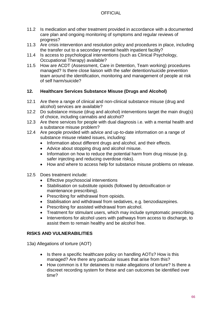- 11.2 Is medication and other treatment provided in accordance with a documented care plan and ongoing monitoring of symptoms and regular reviews of progress?
- 11.3 Are crisis intervention and resolution policy and procedures in place, including the transfer out to a secondary mental health inpatient facility?
- 11.4 Is access to psychological interventions (such as Clinical Psychology, Occupational Therapy) available?
- 11.5 How are ACDT (Assessment, Care in Detention, Team working) procedures managed? Is there close liaison with the safer detention/suicide prevention team around the identification, monitoring and management of people at risk of self harm/suicide?

# **12. Healthcare Services Substance Misuse (Drugs and Alcohol)**

- 12.1 Are there a range of clinical and non-clinical substance misuse (drug and alcohol) services are available?
- 12.2 Do substance misuse (drug and alcohol) interventions target the main drug(s) of choice, including cannabis and alcohol?
- 12.3 Are there services for people with dual diagnosis i.e. with a mental health and a substance misuse problem?
- 12.4 Are people provided with advice and up-to-date information on a range of substance misuse related issues, including:
	- Information about different drugs and alcohol, and their effects.
	- Advice about stopping drug and alcohol misuse.
	- Information on how to reduce the potential harm from drug misuse (e.g. safer injecting and reducing overdose risks).
	- How and where to access help for substance misuse problems on release.
- 12.5 Does treatment include:
	- **Effective psychosocial interventions**
	- Stabilisation on substitute opioids (followed by detoxification or maintenance prescribing).
	- Prescribing for withdrawal from opioids.
	- Stabilisation and withdrawal from sedatives, e.g. benzodiazepines.
	- Prescribing for assisted withdrawal from alcohol.
	- Treatment for stimulant users, which may include symptomatic prescribing.
	- Interventions for alcohol users with pathways from access to discharge, to assist them to remain healthy and be alcohol free.

# **RISKS AND VULNERABILITIES**

13a) Allegations of torture (AOT)

- Is there a specific healthcare policy on handling AOTs? How is this managed? Are there any particular issues that arise from this?
- How common is it for detainees to make allegations of torture? Is there a discreet recording system for these and can outcomes be identified over time?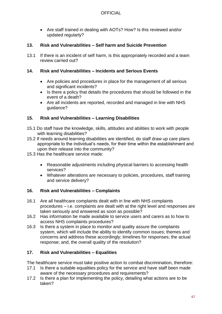Are staff trained in dealing with AOTs? How? Is this reviewed and/or updated regularly?

#### **13. Risk and Vulnerabilities – Self harm and Suicide Prevention**

13.1 If there is an incident of self harm, is this appropriately recorded and a team review carried out?

#### **14. Risk and Vulnerabilities – Incidents and Serious Events**

- Are policies and procedures in place for the management of all serious and significant incidents?
- Is there a policy that details the procedures that should be followed in the event of a death?
- Are all incidents are reported, recorded and managed in line with NHS guidance?

### **15. Risk and Vulnerabilities – Learning Disabilities**

- 15.1 Do staff have the knowledge, skills, attitudes and abilities to work with people with learning disabilities?
- 15.2 If needs around learning disabilities are identified, do staff draw up care plans appropriate to the individual's needs, for their time within the establishment and upon their release into the community?
- 15.3 Has the healthcare service made:
	- Reasonable adjustments including physical barriers to accessing health services?
	- Whatever alterations are necessary to policies, procedures, staff training and service delivery?

# **16. Risk and Vulnerabilities – Complaints**

- 16.1 Are all healthcare complaints dealt with in line with NHS complaints procedures – i.e. complaints are dealt with at the right level and responses are taken seriously and answered as soon as possible?
- 16.2 Has information be made available to service users and carers as to how to access NHS complaints procedures?
- 16.3 Is there a system in place to monitor and quality assure the complaints system, which will include the ability to identify common issues; themes and concerns and address these accordingly; timelines for responses; the actual response; and, the overall quality of the resolution?

# **17. Risk and Vulnerabilities – Equalities**

The healthcare service must take positive action to combat discrimination, therefore:

- 17.1 Is there a suitable equalities policy for the service and have staff been made aware of the necessary procedures and requirements?
- 17.2 Is there a plan for implementing the policy, detailing what actions are to be taken?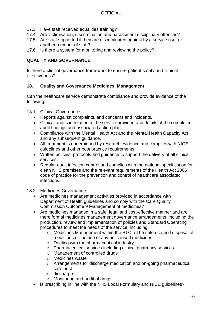- 17.3 Have staff received equalities training?
- 17.4 Are victimisation, discrimination and harassment disciplinary offences?
- 17.5 Are staff supported if they are discriminated against by a service user or another member of staff?
- 17.6 Is there a system for monitoring and reviewing the policy?

#### **QUALITY AND GOVERNANCE**

Is there a clinical governance framework to ensure patient safety and clinical effectiveness?

#### **18. Quality and Governance Medicines Management**

Can the healthcare service demonstrate compliance and provide evidence of the following:

- 18.1 Clinical Governance
	- Reports against complaints, and concerns and incidents.
	- Clinical audits in relation to the service provided and details of the completed audit findings and associated action plan.
	- Compliance with the Mental Health Act and the Mental Health Capacity Act and any subsequent guidance.
	- All treatment is underpinned by research evidence and complies with NICE guidelines and other best practice requirements.
	- Written policies, protocols and guidance to support the delivery of all clinical services.
	- Regular audit infection control and complies with the national specification for clean NHS premises and the relevant requirements of the Health Act 2006 code of practice for the prevention and control of healthcare associated infections.

#### 18.2 Medicines Governance

- Are medicines management activities provided in accordance with Department of Health guidelines and comply with the Care Quality Commission Outcome 9 Management of medicines?
- Are medicines managed in a safe, legal and cost-effective manner and are there formal medicines management governance arrangements, including the production, review and implementation of policies and Standard Operating procedures to meet the needs of the service, including:
	- o Medicines Management within the STC o The safe use and disposal of medicines o The use of any unlicensed medicines
	- o Dealing with the pharmaceutical industry
	- o Pharmaceutical services including clinical pharmacy services
	- o Management of controlled drugs
	- o Medicines waste
	- o Arrangements for discharge medication and on-going pharmaceutical care post
	- o discharge
	- o Monitoring and audit of drugs
- Is prescribing in line with the NHS Local Formulary and NICE quidelines?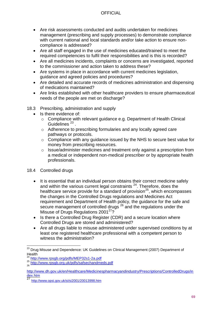- Are risk assessments conducted and audits undertaken for medicines management (prescribing and supply processes) to demonstrate compliance with current national and local standards and/or take action to ensure noncompliance is addressed?
- Are all staff engaged in the use of medicines educated/trained to meet the required competencies to fulfil their responsibilities and is this is recorded?
- Are all medicines incidents, complaints or concerns are investigated, reported to the commissioner and action taken to address these?
- Are systems in place in accordance with current medicines legislation, guidance and agreed policies and procedures?
- Are detailed and accurate records of medicines administration and dispensing of medications maintained?
- Are links established with other healthcare providers to ensure pharmaceutical needs of the people are met on discharge?
- 18.3 Prescribing, administration and supply
	- Is there evidence of:
		- o Compliance with relevant guidance e.g. Department of Health Clinical Guidelines<sup>23</sup>.
		- o Adherence to prescribing formularies and any locally agreed care pathways or protocols.
		- o Compliance with any guidance issued by the NHS to secure best value for money from prescribing resources.
		- o Issue/administer medicines and treatment only against a prescription from a medical or independent non-medical prescriber or by appropriate health professionals.
- 18.4 Controlled drugs
	- It is essential that an individual person obtains their correct medicine safely and within the various current legal constraints <sup>24</sup>. Therefore, does the healthcare service provide for a standard of provision<sup>25</sup>, which encompasses the changes in the Controlled Drugs regulations and Medicines Act requirement and Department of Health policy, the guidance for the safe and secure management of controlled drugs <sup>26</sup> and the regulations under the Misuse of Drugs Regulations 2001<sup>27</sup>?
	- Is there a Controlled Drug Register (CDR) and a secure location where Controlled Drugs are stored and administered?
	- Are all drugs liable to misuse administered under supervised conditions by at least one registered healthcare professional with a competent person to witness the administration?

 $\overline{a}$  $^{23}$  Drug Misuse and Dependence: UK Guidelines on Clinical Management (2007) Department of  $Health$ <sub>24</sub>,

<sup>24</sup> <http://www.rpsgb.org/pdfs/MEP32s1-2a.pdf>

<sup>&</sup>lt;sup>25</sup> <http://www.rpsgb.org.uk/pdfs/safsechandmeds.pdf><br><sup>26</sup>

[http://www.dh.gov.uk/en/Healthcare/Medicinespharmacyandindustry/Prescriptions/ControlledDrugs/in](http://www.dh.gov.uk/en/Healthcare/Medicinespharmacyandindustry/Prescriptions/ControlledDrugs/index.htm)  $\frac{dex.htm}{27}$  $\frac{dex.htm}{27}$  $\frac{dex.htm}{27}$ 

<sup>27</sup> <http://www.opsi.gov.uk/si/si2001/20013998.htm>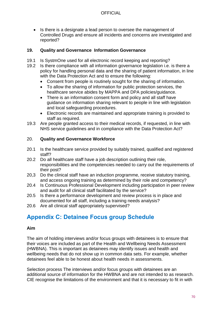• Is there is a designate a lead person to oversee the management of Controlled Drugs and ensure all incidents and concerns are investigated and reported?

#### **19. Quality and Governance Information Governance**

- 19.1 Is SystmOne used for all electronic record keeping and reporting?
- 19.2 Is there compliance with all information governance legislation i.e. is there a policy for handling personal data and the sharing of patient information, in line with the Data Protection Act and to ensure the following:
	- Consent from people is routinely sought for the sharing of information.
	- To allow the sharing of information for public protection services, the healthcare service abides by MAPPA and DPA policies/guidance.
	- There is an information consent form and policy and all staff have guidance on information sharing relevant to people in line with legislation and local safeguarding procedures.
	- Electronic records are maintained and appropriate training is provided to staff as required.
- 19.3 Are people granted access to their medical records, if requested, in line with NHS service guidelines and in compliance with the Data Protection Act?

#### 20. **Quality and Governance Workforce**

- 20.1 Is the healthcare service provided by suitably trained, qualified and registered staff?
- 20.2 Do all healthcare staff have a job description outlining their role, responsibilities and the competencies needed to carry out the requirements of their post?
- 20,3 Do the clinical staff have an induction programme, receive statutory training, and access ongoing training as determined by their role and competency?
- 20.4 Is Continuous Professional Development including participation in peer review and audit for all clinical staff facilitated by the service?
- 20.5 Is there a performance development and review process is in place and documented for all staff, including a training needs analysis?
- 20.6 Are all clinical staff appropriately supervised?

# **Appendix C: Detainee Focus group Schedule**

#### **Aim**

The aim of holding interviews and/or focus groups with detainees is to ensure that their voices are included as part of the Health and Wellbeing Needs Assessment (HWBNA). This is important as detainees may identify issues and health and wellbeing needs that do not show up in common data sets. For example, whether detainees feel able to be honest about health needs in assessments.

Selection process The interviews and/or focus groups with detainees are an additional source of information for the HWBNA and are not intended to as research. CIE recognise the limitations of the environment and that it is necessary to fit in with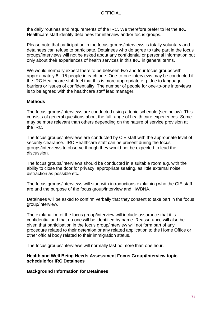the daily routines and requirements of the IRC. We therefore prefer to let the IRC Healthcare staff identify detainees for interview and/or focus groups.

Please note that participation in the focus groups/interviews is totally voluntary and detainees can refuse to participate. Detainees who do agree to take part in the focus groups/interviews will not be asked about any confidential or personal information but only about their experiences of health services in this IRC in general terms.

We would normally expect there to be between two and four focus groups with approximately 8 –15 people in each one. One-to-one interviews may be conducted if the IRC Healthcare staff feel that this is more appropriate e.g. due to language barriers or issues of confidentiality. The number of people for one-to-one interviews is to be agreed with the healthcare staff lead manager.

#### **Methods**

The focus groups/interviews are conducted using a topic schedule (see below). This consists of general questions about the full range of health care experiences. Some may be more relevant than others depending on the nature of service provision at the IRC.

The focus groups/interviews are conducted by CIE staff with the appropriate level of security clearance. IIRC Healthcare staff can be present during the focus groups/interviews to observe though they would not be expected to lead the discussion.

The focus groups/interviews should be conducted in a suitable room e.g. with the ability to close the door for privacy, appropriate seating, as little external noise distraction as possible etc.

The focus groups/interviews will start with introductions explaining who the CIE staff are and the purpose of the focus group/interview and HWBNA.

Detainees will be asked to confirm verbally that they consent to take part in the focus group/interview.

The explanation of the focus group/interview will include assurance that it is confidential and that no one will be identified by name. Reassurance will also be given that participation in the focus group/interview will not form part of any procedure related to their detention or any related application to the Home Office or other official body related to their immigration status.

The focus groups/interviews will normally last no more than one hour.

**Health and Well Being Needs Assessment Focus Group/Interview topic schedule for IRC Detainees**

**Background Information for Detainees**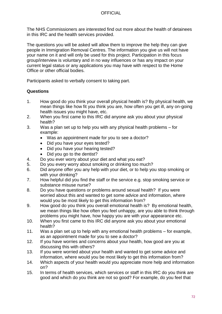The NHS Commissioners are interested find out more about the health of detainees in this IRC and the health services provided.

The questions you will be asked will allow them to improve the help they can give people in Immigration Removal Centres. The information you give us will not have your name on it and will only be used for this project. Participation in this focus group/interview is voluntary and in no way influences or has any impact on your current legal status or any applications you may have with respect to the Home Office or other official bodies.

Participants asked to verbally consent to taking part.

### **Questions**

- 1. How good do you think your overall physical health is? By physical health, we mean things like how fit you think you are, how often you get ill, any on-going health issues you might have, etc.
- 2. When you first came to this IRC did anyone ask you about your physical health?
- 3. Was a plan set up to help you with any physical health problems for example:
	- Was an appointment made for you to see a doctor?
	- Did you have your eyes tested?
	- Did you have your hearing tested?
	- Did you go to the dentist?
- 4. Do you ever worry about your diet and what you eat?
- 5. Do you every worry about smoking or drinking too much?
- 6. Did anyone offer you any help with your diet, or to help you stop smoking or with your drinking?
- 7. How helpful did you find the staff or the service e.g. stop smoking service or substance misuse nurse?
- 8. Do you have questions or problems around sexual health? If you were worried about this and wanted to get some advice and information, where would you be most likely to get this information from?
- 9. How good do you think you overall emotional health is? By emotional health, we mean things like how often you feel unhappy, are you able to think through problems you might have, how happy you are with your appearance etc.
- 10. When you first came to this IRC did anyone ask you about your emotional health?
- 11. Was a plan set up to help with any emotional health problems for example, as an appointment made for you to see a doctor?
- 12. If you have worries and concerns about your health, how good are you at discussing this with others?
- 13. If you were worried about your health and wanted to get some advice and information, where would you be most likely to get this information from?
- 14. Which aspects of your health would you appreciate more help and information on?
- 15. In terms of health services, which services or staff in this IRC do you think are good and which do you think are not so good? For example, do you feel that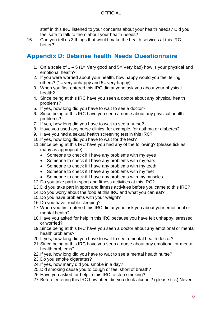### OFFICIAL

staff in this IRC listened to your concerns about your health needs? Did you feel safe to talk to them about your health needs?

16. Can you tell us 3 things that would make the health services at this IRC better?

# **Appendix D: Detainee health Needs Questionnaire**

- 1. On a scale of  $1 5$  (1= Very good and  $5=$  Very bad) how is your physical and emotional health?
- 2. If you were worried about your health, how happy would you feel telling others? (1= very unhappy and 5= very happy)
- 3. When you first entered this IRC did anyone ask you about your physical health?
- 4. Since being at this IRC have you seen a doctor about any physical health problems?
- 5. If yes, how long did you have to wait to see a doctor?
- 6. Since being at this IRC have you seen a nurse about any physical health problems?
- 7. If yes, how long did you have to wait to see a nurse?
- 8. Have you used any nurse clinics, for example, for asthma or diabetes?
- 9. Have you had a sexual health screening test in this IRC?
- 10.If yes, how long did you have to wait for the test?
- 11.Since being at this IRC have you had any of the following? (please tick as many as appropriate)
	- Someone to check if I have any problems with my eyes
	- Someone to check if I have any problems with my ears
	- Someone to check if I have any problems with my teeth
	- Someone to check if I have any problems with my feet
	- Someone to check if I have any problems with my muscles
- 12.Do you take part in sport and fitness activities at this IRC?
- 13.Did you take part in sport and fitness activities before you came to this IRC?
- 14.Do you worry about the food at this IRC and what you can eat?
- 15.Do you have problems with your weight?
- 16.Do you have trouble sleeping?
- 17.When you first entered this IRC did anyone ask you about your emotional or mental health?
- 18.Have you asked for help in this IRC because you have felt unhappy, stressed or worried?
- 19.Since being at this IRC have you seen a doctor about any emotional or mental health problems?
- 20.If yes, how long did you have to wait to see a mental health doctor?
- 21.Since being at this IRC have you seen a nurse about any emotional or mental health problems?
- 22.If yes, how long did you have to wait to see a mental health nurse?
- 23.Do you smoke cigarettes?
- 24.If yes, how many did you smoke in a day?
- 25.Did smoking cause you to cough or feel short of breath?
- 26.Have you asked for help in this IRC to stop smoking?
- 27.Before entering this IRC how often did you drink alcohol? (please tick) Never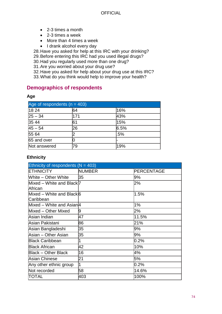- 2-3 times a month
- 2-3 times a week
- More than 4 times a week
- I drank alcohol every day

28.Have you asked for help at this IRC with your drinking?

29.Before entering this IRC had you used illegal drugs?

30.Had you regularly used more than one drug?

31.Are you worried about your drug use?

32.Have you asked for help about your drug use at this IRC?

33.What do you think would help to improve your health?

## **Demographics of respondents**

#### **Age**

| Age of respondents ( $n = 403$ ) |     |      |  |
|----------------------------------|-----|------|--|
| 18 24                            | 64  | 16%  |  |
| $ 25 - 34 $                      | 171 | 43%  |  |
| 35 44                            | 61  | 15%  |  |
| $45 - 54$                        | 26  | 6.5% |  |
| 55 64                            |     | .5%  |  |
| 65 and over                      |     |      |  |
| Not answered                     | 79  | 19%  |  |

#### **Ethnicity**

| Ethnicity of respondents ( $N = 403$ )            |               |            |
|---------------------------------------------------|---------------|------------|
| <b>ETHNICITY</b>                                  | <b>NUMBER</b> | PERCENTAGE |
| White - Other White                               | 35            | 9%         |
| Mixed - White and Black <sup>[7]</sup><br>African |               | 2%         |
| Mixed – White and Blackl6<br>Caribbean            |               | 1.5%       |
| Mixed – White and Asian <sub>4</sub>              |               | 1%         |
| Mixed - Other Mixed                               | 9             | 2%         |
| Asian Indian                                      | 47            | 11.5%      |
| Asian Pakistani                                   | 86            | 21%        |
| Asian Bangladeshi                                 | 35            | 9%         |
| Asian – Other Asian                               | 35            | 9%         |
| <b>Black Caribbean</b>                            | 1             | $0.2\%$    |
| <b>Black African</b>                              | 42            | 10%        |
| <b>Black - Other Black</b>                        | 16            | 4%         |
| <b>Asian Chinese</b>                              | 21            | 5%         |
| Any other ethnic group                            | 1             | $0.2\%$    |
| Not recorded                                      | 58            | 14.6%      |
| ITOTAL                                            | 403           | 100%       |